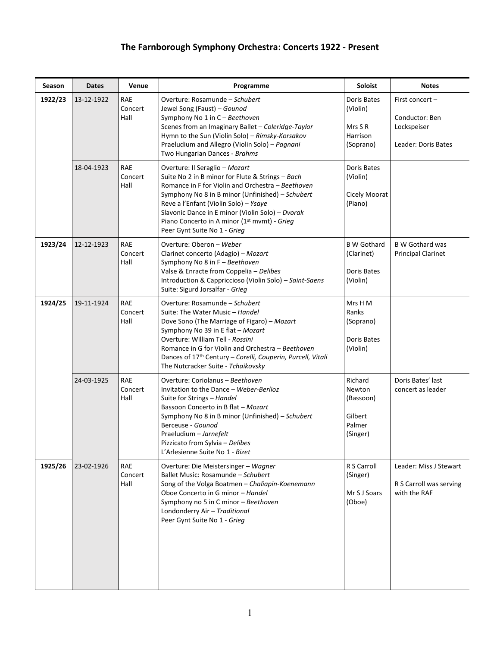## **The Farnborough Symphony Orchestra: Concerts 1922 - Present**

| <b>Season</b> | <b>Dates</b> | Venue                         | Programme                                                                                                                                                                                                                                                                                                                                                                            | Soloist                                                            | <b>Notes</b>                                                            |
|---------------|--------------|-------------------------------|--------------------------------------------------------------------------------------------------------------------------------------------------------------------------------------------------------------------------------------------------------------------------------------------------------------------------------------------------------------------------------------|--------------------------------------------------------------------|-------------------------------------------------------------------------|
| 1922/23       | 13-12-1922   | <b>RAE</b><br>Concert<br>Hall | Overture: Rosamunde - Schubert<br>Jewel Song (Faust) - Gounod<br>Symphony No 1 in C - Beethoven<br>Scenes from an Imaginary Ballet - Coleridge-Taylor<br>Hymn to the Sun (Violin Solo) - Rimsky-Korsakov<br>Praeludium and Allegro (Violin Solo) - Pagnani<br>Two Hungarian Dances - Brahms                                                                                          | Doris Bates<br>(Violin)<br>Mrs S R<br><b>Harrison</b><br>(Soprano) | First concert -<br>Conductor: Ben<br>Lockspeiser<br>Leader: Doris Bates |
|               | 18-04-1923   | <b>RAE</b><br>Concert<br>Hall | Overture: Il Seraglio - Mozart<br>Suite No 2 in B minor for Flute & Strings - Bach<br>Romance in F for Violin and Orchestra - Beethoven<br>Symphony No 8 in B minor (Unfinished) - Schubert<br>Reve a l'Enfant (Violin Solo) - Ysaye<br>Slavonic Dance in E minor (Violin Solo) - Dvorak<br>Piano Concerto in A minor (1 <sup>st</sup> mvmt) - Grieg<br>Peer Gynt Suite No 1 - Grieg | Doris Bates<br>(Violin)<br>Cicely Moorat<br>(Piano)                |                                                                         |
| 1923/24       | 12-12-1923   | <b>RAE</b><br>Concert<br>Hall | Overture: Oberon - Weber<br>Clarinet concerto (Adagio) - Mozart<br>Symphony No 8 in F - Beethoven<br>Valse & Enracte from Coppelia - Delibes<br>Introduction & Cappriccioso (Violin Solo) - Saint-Saens<br>Suite: Sigurd Jorsalfar - Grieg                                                                                                                                           | <b>B</b> W Gothard<br>(Clarinet)<br>Doris Bates<br>(Violin)        | <b>B W Gothard was</b><br><b>Principal Clarinet</b>                     |
| 1924/25       | 19-11-1924   | <b>RAE</b><br>Concert<br>Hall | Overture: Rosamunde - Schubert<br>Suite: The Water Music - Handel<br>Dove Sono (The Marriage of Figaro) - Mozart<br>Symphony No 39 in E flat - Mozart<br>Overture: William Tell - Rossini<br>Romance in G for Violin and Orchestra - Beethoven<br>Dances of 17 <sup>th</sup> Century – Corelli, Couperin, Purcell, Vitali<br>The Nutcracker Suite - Tchaikovsky                      | Mrs H M<br>Ranks<br>(Soprano)<br>Doris Bates<br>(Violin)           |                                                                         |
|               | 24-03-1925   | <b>RAE</b><br>Concert<br>Hall | Overture: Coriolanus - Beethoven<br>Invitation to the Dance - Weber-Berlioz<br>Suite for Strings - Handel<br>Bassoon Concerto in B flat - Mozart<br>Symphony No 8 in B minor (Unfinished) - Schubert<br>Berceuse - Gounod<br>Praeludium - Jarnefelt<br>Pizzicato from Sylvia - Delibes<br>L'Arlesienne Suite No 1 - Bizet                                                            | Richard<br>Newton<br>(Bassoon)<br>Gilbert<br>Palmer<br>(Singer)    | Doris Bates' last<br>concert as leader                                  |
| 1925/26       | 23-02-1926   | RAE<br>Concert<br>Hall        | Overture: Die Meistersinger - Wagner<br>Ballet Music: Rosamunde - Schubert<br>Song of the Volga Boatmen - Chaliapin-Koenemann<br>Oboe Concerto in G minor - Handel<br>Symphony no 5 in C minor - Beethoven<br>Londonderry Air - Traditional<br>Peer Gynt Suite No 1 - Grieg                                                                                                          | R S Carroll<br>(Singer)<br>Mr S J Soars<br>(Oboe)                  | Leader: Miss J Stewart<br>R S Carroll was serving<br>with the RAF       |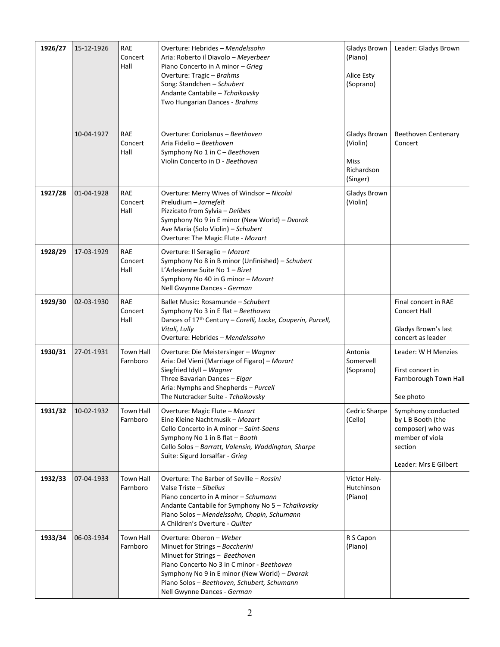| 1926/27 | 15-12-1926 | <b>RAE</b><br>Concert<br>Hall | Overture: Hebrides - Mendelssohn<br>Aria: Roberto il Diavolo - Meyerbeer<br>Piano Concerto in A minor - Grieg<br>Overture: Tragic - Brahms<br>Song: Standchen - Schubert<br>Andante Cantabile - Tchaikovsky<br>Two Hungarian Dances - Brahms                               | Gladys Brown<br>(Piano)<br>Alice Esty<br>(Soprano)                | Leader: Gladys Brown                                                                                                |
|---------|------------|-------------------------------|----------------------------------------------------------------------------------------------------------------------------------------------------------------------------------------------------------------------------------------------------------------------------|-------------------------------------------------------------------|---------------------------------------------------------------------------------------------------------------------|
|         | 10-04-1927 | <b>RAE</b><br>Concert<br>Hall | Overture: Coriolanus - Beethoven<br>Aria Fidelio - Beethoven<br>Symphony No 1 in C - Beethoven<br>Violin Concerto in D - Beethoven                                                                                                                                         | Gladys Brown<br>(Violin)<br><b>Miss</b><br>Richardson<br>(Singer) | Beethoven Centenary<br>Concert                                                                                      |
| 1927/28 | 01-04-1928 | <b>RAE</b><br>Concert<br>Hall | Overture: Merry Wives of Windsor - Nicolai<br>Preludium - Jarnefelt<br>Pizzicato from Sylvia - Delibes<br>Symphony No 9 in E minor (New World) - Dvorak<br>Ave Maria (Solo Violin) - Schubert<br>Overture: The Magic Flute - Mozart                                        | Gladys Brown<br>(Violin)                                          |                                                                                                                     |
| 1928/29 | 17-03-1929 | <b>RAE</b><br>Concert<br>Hall | Overture: Il Seraglio - Mozart<br>Symphony No 8 in B minor (Unfinished) - Schubert<br>L'Arlesienne Suite No 1-Bizet<br>Symphony No 40 in G minor - Mozart<br>Nell Gwynne Dances - German                                                                                   |                                                                   |                                                                                                                     |
| 1929/30 | 02-03-1930 | <b>RAE</b><br>Concert<br>Hall | Ballet Music: Rosamunde - Schubert<br>Symphony No 3 in E flat - Beethoven<br>Dances of 17th Century - Corelli, Locke, Couperin, Purcell,<br>Vitali, Lully<br>Overture: Hebrides - Mendelssohn                                                                              |                                                                   | Final concert in RAE<br><b>Concert Hall</b><br>Gladys Brown's last<br>concert as leader                             |
| 1930/31 | 27-01-1931 | <b>Town Hall</b><br>Farnboro  | Overture: Die Meistersinger - Wagner<br>Aria: Del Vieni (Marriage of Figaro) - Mozart<br>Siegfried Idyll - Wagner<br>Three Bavarian Dances - Elgar<br>Aria: Nymphs and Shepherds - Purcell<br>The Nutcracker Suite - Tchaikovsky                                           | Antonia<br>Somervell<br>(Soprano)                                 | Leader: W H Menzies<br>First concert in<br>Farnborough Town Hall<br>See photo                                       |
| 1931/32 | 10-02-1932 | <b>Town Hall</b><br>Farnboro  | Overture: Magic Flute - Mozart<br>Eine Kleine Nachtmusik - Mozart<br>Cello Concerto in A minor - Saint-Saens<br>Symphony No 1 in B flat - Booth<br>Cello Solos - Barratt, Valensin, Waddington, Sharpe<br>Suite: Sigurd Jorsalfar - Grieg                                  | Cedric Sharpe<br>(Cello)                                          | Symphony conducted<br>by L B Booth (the<br>composer) who was<br>member of viola<br>section<br>Leader: Mrs E Gilbert |
| 1932/33 | 07-04-1933 | <b>Town Hall</b><br>Farnboro  | Overture: The Barber of Seville - Rossini<br>Valse Triste - Sibelius<br>Piano concerto in A minor - Schumann<br>Andante Cantabile for Symphony No 5 - Tchaikovsky<br>Piano Solos - Mendelssohn, Chopin, Schumann<br>A Children's Overture - Quilter                        | Victor Hely-<br>Hutchinson<br>(Piano)                             |                                                                                                                     |
| 1933/34 | 06-03-1934 | Town Hall<br>Farnboro         | Overture: Oberon - Weber<br>Minuet for Strings - Boccherini<br>Minuet for Strings - Beethoven<br>Piano Concerto No 3 in C minor - Beethoven<br>Symphony No 9 in E minor (New World) - Dvorak<br>Piano Solos - Beethoven, Schubert, Schumann<br>Nell Gwynne Dances - German | R S Capon<br>(Piano)                                              |                                                                                                                     |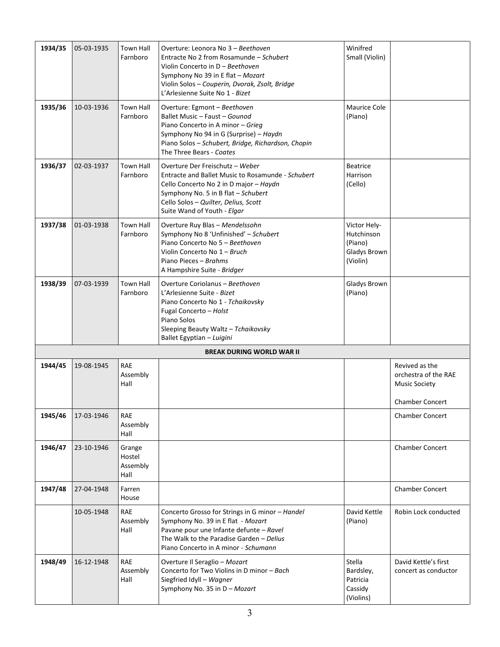| 1934/35 | 05-03-1935 | <b>Town Hall</b><br>Farnboro         | Overture: Leonora No 3 - Beethoven<br>Entracte No 2 from Rosamunde - Schubert<br>Violin Concerto in D - Beethoven<br>Symphony No 39 in E flat - Mozart<br>Violin Solos - Couperin, Dvorak, Zsolt, Bridge<br>L'Arlesienne Suite No 1 - Bizet  | Winifred<br>Small (Violin)                                        |                                                                |
|---------|------------|--------------------------------------|----------------------------------------------------------------------------------------------------------------------------------------------------------------------------------------------------------------------------------------------|-------------------------------------------------------------------|----------------------------------------------------------------|
| 1935/36 | 10-03-1936 | <b>Town Hall</b><br>Farnboro         | Overture: Egmont - Beethoven<br>Ballet Music - Faust - Gounod<br>Piano Concerto in A minor - Grieg<br>Symphony No 94 in G (Surprise) - Haydn<br>Piano Solos - Schubert, Bridge, Richardson, Chopin<br>The Three Bears - Coates               | Maurice Cole<br>(Piano)                                           |                                                                |
| 1936/37 | 02-03-1937 | <b>Town Hall</b><br>Farnboro         | Overture Der Freischutz - Weber<br>Entracte and Ballet Music to Rosamunde - Schubert<br>Cello Concerto No 2 in D major - Haydn<br>Symphony No. 5 in B flat - Schubert<br>Cello Solos - Quilter, Delius, Scott<br>Suite Wand of Youth - Elgar | <b>Beatrice</b><br><b>Harrison</b><br>(Cello)                     |                                                                |
| 1937/38 | 01-03-1938 | <b>Town Hall</b><br>Farnboro         | Overture Ruy Blas - Mendelssohn<br>Symphony No 8 'Unfinished' - Schubert<br>Piano Concerto No 5 - Beethoven<br>Violin Concerto No 1 - Bruch<br>Piano Pieces - Brahms<br>A Hampshire Suite - Bridger                                          | Victor Hely-<br>Hutchinson<br>(Piano)<br>Gladys Brown<br>(Violin) |                                                                |
| 1938/39 | 07-03-1939 | <b>Town Hall</b><br>Farnboro         | Overture Coriolanus - Beethoven<br>L'Arlesienne Suite - Bizet<br>Piano Concerto No 1 - Tchaikovsky<br>Fugal Concerto - Holst<br>Piano Solos<br>Sleeping Beauty Waltz - Tchaikovsky<br>Ballet Egyptian - Luigini                              | Gladys Brown<br>(Piano)                                           |                                                                |
|         |            |                                      | <b>BREAK DURING WORLD WAR II</b>                                                                                                                                                                                                             |                                                                   |                                                                |
| 1944/45 | 19-08-1945 | RAE<br>Assembly<br>Hall              |                                                                                                                                                                                                                                              |                                                                   | Revived as the<br>orchestra of the RAE<br><b>Music Society</b> |
| 1945/46 | 17-03-1946 | RAE<br>Assembly<br>Hall              |                                                                                                                                                                                                                                              |                                                                   | <b>Chamber Concert</b><br><b>Chamber Concert</b>               |
| 1946/47 | 23-10-1946 | Grange<br>Hostel<br>Assembly<br>Hall |                                                                                                                                                                                                                                              |                                                                   | <b>Chamber Concert</b>                                         |
| 1947/48 | 27-04-1948 | Farren<br>House                      |                                                                                                                                                                                                                                              |                                                                   | <b>Chamber Concert</b>                                         |
|         | 10-05-1948 | RAE<br>Assembly<br>Hall              | Concerto Grosso for Strings in G minor - Handel<br>Symphony No. 39 in E flat - Mozart<br>Pavane pour une Infante defunte - Ravel<br>The Walk to the Paradise Garden - Delius<br>Piano Concerto in A minor - Schumann                         | David Kettle<br>(Piano)                                           | Robin Lock conducted                                           |
| 1948/49 | 16-12-1948 | RAE<br>Assembly<br>Hall              | Overture Il Seraglio - Mozart<br>Concerto for Two Violins in D minor - Bach<br>Siegfried Idyll - Wagner<br>Symphony No. 35 in D - Mozart                                                                                                     | Stella<br>Bardsley,<br>Patricia<br>Cassidy<br>(Violins)           | David Kettle's first<br>concert as conductor                   |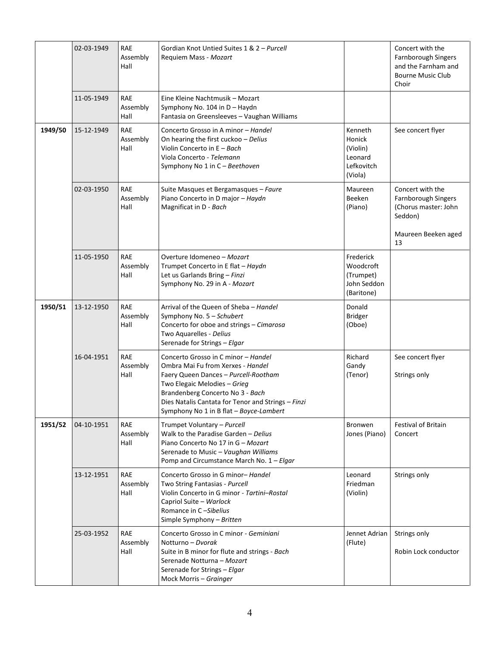|         | 02-03-1949 | <b>RAE</b><br>Assembly<br>Hall | Gordian Knot Untied Suites 1 & 2 - Purcell<br>Requiem Mass - Mozart                                                                                                                                                                                                                   |                                                                   | Concert with the<br><b>Farnborough Singers</b><br>and the Farnham and<br><b>Bourne Music Club</b><br>Choir |
|---------|------------|--------------------------------|---------------------------------------------------------------------------------------------------------------------------------------------------------------------------------------------------------------------------------------------------------------------------------------|-------------------------------------------------------------------|------------------------------------------------------------------------------------------------------------|
|         | 11-05-1949 | <b>RAE</b><br>Assembly<br>Hall | Eine Kleine Nachtmusik - Mozart<br>Symphony No. 104 in D - Haydn<br>Fantasia on Greensleeves - Vaughan Williams                                                                                                                                                                       |                                                                   |                                                                                                            |
| 1949/50 | 15-12-1949 | <b>RAE</b><br>Assembly<br>Hall | Concerto Grosso in A minor - Handel<br>On hearing the first cuckoo - Delius<br>Violin Concerto in E - Bach<br>Viola Concerto - Telemann<br>Symphony No 1 in C - Beethoven                                                                                                             | Kenneth<br>Honick<br>(Violin)<br>Leonard<br>Lefkovitch<br>(Viola) | See concert flyer                                                                                          |
|         | 02-03-1950 | <b>RAE</b><br>Assembly<br>Hall | Suite Masques et Bergamasques - Faure<br>Piano Concerto in D major - Haydn<br>Magnificat in D - Bach                                                                                                                                                                                  | Maureen<br>Beeken<br>(Piano)                                      | Concert with the<br>Farnborough Singers<br>(Chorus master: John<br>Seddon)<br>Maureen Beeken aged<br>13    |
|         | 11-05-1950 | <b>RAE</b><br>Assembly<br>Hall | Overture Idomeneo - Mozart<br>Trumpet Concerto in E flat - Haydn<br>Let us Garlands Bring - Finzi<br>Symphony No. 29 in A - Mozart                                                                                                                                                    | Frederick<br>Woodcroft<br>(Trumpet)<br>John Seddon<br>(Baritone)  |                                                                                                            |
| 1950/51 | 13-12-1950 | <b>RAE</b><br>Assembly<br>Hall | Arrival of the Queen of Sheba - Handel<br>Symphony No. 5 - Schubert<br>Concerto for oboe and strings - Cimarosa<br>Two Aquarelles - Delius<br>Serenade for Strings - Elgar                                                                                                            | Donald<br><b>Bridger</b><br>(Oboe)                                |                                                                                                            |
|         | 16-04-1951 | <b>RAE</b><br>Assembly<br>Hall | Concerto Grosso in C minor - Handel<br>Ombra Mai Fu from Xerxes - Handel<br>Faery Queen Dances - Purcell-Rootham<br>Two Elegaic Melodies - Grieg<br>Brandenberg Concerto No 3 - Bach<br>Dies Natalis Cantata for Tenor and Strings - Finzi<br>Symphony No 1 in B flat - Boyce-Lambert | Richard<br>Gandy<br>(Tenor)                                       | See concert flyer<br>Strings only                                                                          |
| 1951/52 | 04-10-1951 | RAE<br>Assembly<br>Hall        | Trumpet Voluntary - Purcell<br>Walk to the Paradise Garden - Delius<br>Piano Concerto No 17 in G - Mozart<br>Serenade to Music - Vaughan Williams<br>Pomp and Circumstance March No. 1 - Elgar                                                                                        | Bronwen<br>Jones (Piano)                                          | Festival of Britain<br>Concert                                                                             |
|         | 13-12-1951 | RAE<br>Assembly<br>Hall        | Concerto Grosso in G minor-Handel<br>Two String Fantasias - Purcell<br>Violin Concerto in G minor - Tartini-Rostal<br>Capriol Suite - Warlock<br>Romance in C-Sibelius<br>Simple Symphony - Britten                                                                                   | Leonard<br>Friedman<br>(Violin)                                   | Strings only                                                                                               |
|         | 25-03-1952 | <b>RAE</b><br>Assembly<br>Hall | Concerto Grosso in C minor - Geminiani<br>Notturno - Dvorak<br>Suite in B minor for flute and strings - Bach<br>Serenade Notturna - Mozart<br>Serenade for Strings - Elgar<br>Mock Morris - Grainger                                                                                  | Jennet Adrian<br>(Flute)                                          | Strings only<br>Robin Lock conductor                                                                       |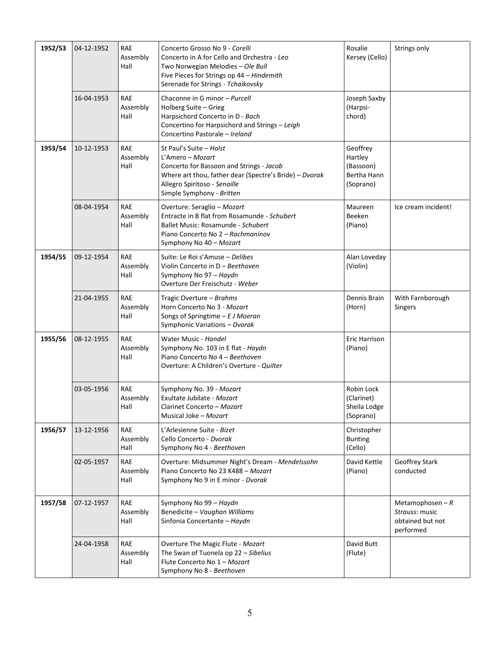| 1952/53 | 04-12-1952 | <b>RAE</b><br>Assembly<br>Hall | Concerto Grosso No 9 - Corelli<br>Concerto in A for Cello and Orchestra - Leo<br>Two Norwegian Melodies - Ole Bull<br>Five Pieces for Strings op 44 - Hindemith<br>Serenade for Strings - Tchaikovsky          | Rosalie<br>Kersey (Cello)                                    | Strings only                                                         |
|---------|------------|--------------------------------|----------------------------------------------------------------------------------------------------------------------------------------------------------------------------------------------------------------|--------------------------------------------------------------|----------------------------------------------------------------------|
|         | 16-04-1953 | RAE<br>Assembly<br>Hall        | Chaconne in G minor - Purcell<br>Holberg Suite - Grieg<br>Harpsichord Concerto in D - Bach<br>Concertino for Harpsichord and Strings - Leigh<br>Concertino Pastorale - Ireland                                 | Joseph Saxby<br>(Harpsi-<br>chord)                           |                                                                      |
| 1953/54 | 10-12-1953 | <b>RAE</b><br>Assembly<br>Hall | St Paul's Suite - Holst<br>L'Amero – Mozart<br>Concerto for Bassoon and Strings - Jacob<br>Where art thou, father dear (Spectre's Bride) - Dvorak<br>Allegro Spiritoso - Senaille<br>Simple Symphony - Britten | Geoffrey<br>Hartley<br>(Bassoon)<br>Bertha Hann<br>(Soprano) |                                                                      |
|         | 08-04-1954 | <b>RAE</b><br>Assembly<br>Hall | Overture: Seraglio - Mozart<br>Entracte in B flat from Rosamunde - Schubert<br>Ballet Music: Rosamunde - Schubert<br>Piano Concerto No 2 - Rachmaninov<br>Symphony No 40 - Mozart                              | Maureen<br>Beeken<br>(Piano)                                 | Ice cream incident!                                                  |
| 1954/55 | 09-12-1954 | <b>RAE</b><br>Assembly<br>Hall | Suite: Le Roi s'Amuse - Delibes<br>Violin Concerto in D - Beethoven<br>Symphony No 97 - Haydn<br>Overture Der Freischutz - Weber                                                                               | Alan Loveday<br>(Violin)                                     |                                                                      |
|         | 21-04-1955 | <b>RAE</b><br>Assembly<br>Hall | Tragic Overture – Brahms<br>Horn Concerto No 3 - Mozart<br>Songs of Springtime $-EJ$ Moeran<br>Symphonic Variations - Dvorak                                                                                   | Dennis Brain<br>(Horn)                                       | With Farnborough<br>Singers                                          |
| 1955/56 | 08-12-1955 | RAE<br>Assembly<br>Hall        | Water Music - Handel<br>Symphony No. 103 in E flat - Haydn<br>Piano Concerto No 4 - Beethoven<br>Overture: A Children's Overture - Quilter                                                                     | Eric Harrison<br>(Piano)                                     |                                                                      |
|         | 03-05-1956 | <b>RAE</b><br>Assembly<br>Hall | Symphony No. 39 - Mozart<br>Exultate Jubilate - Mozart<br>Clarinet Concerto - Mozart<br>Musical Joke - Mozart                                                                                                  | Robin Lock<br>(Clarinet)<br>Sheila Lodge<br>(Soprano)        |                                                                      |
| 1956/57 | 13-12-1956 | RAE<br>Assembly<br>Hall        | L'Arlesienne Suite - Bizet<br>Cello Concerto - Dvorak<br>Symphony No 4 - Beethoven                                                                                                                             | Christopher<br><b>Bunting</b><br>(Cello)                     |                                                                      |
|         | 02-05-1957 | <b>RAE</b><br>Assembly<br>Hall | Overture: Midsummer Night's Dream - Mendelssohn<br>Piano Concerto No 23 K488 - Mozart<br>Symphony No 9 in E minor - Dvorak                                                                                     | David Kettle<br>(Piano)                                      | Geoffrey Stark<br>conducted                                          |
| 1957/58 | 07-12-1957 | RAE<br>Assembly<br>Hall        | Symphony No 99 - Haydn<br>Benedicite - Vaughan Williams<br>Sinfonia Concertante - Haydn                                                                                                                        |                                                              | Metamophosen $-R$<br>Strauss: music<br>obtained but not<br>performed |
|         | 24-04-1958 | <b>RAE</b><br>Assembly<br>Hall | Overture The Magic Flute - Mozart<br>The Swan of Tuonela op 22 - Sibelius<br>Flute Concerto No 1 - Mozart<br>Symphony No 8 - Beethoven                                                                         | David Butt<br>(Flute)                                        |                                                                      |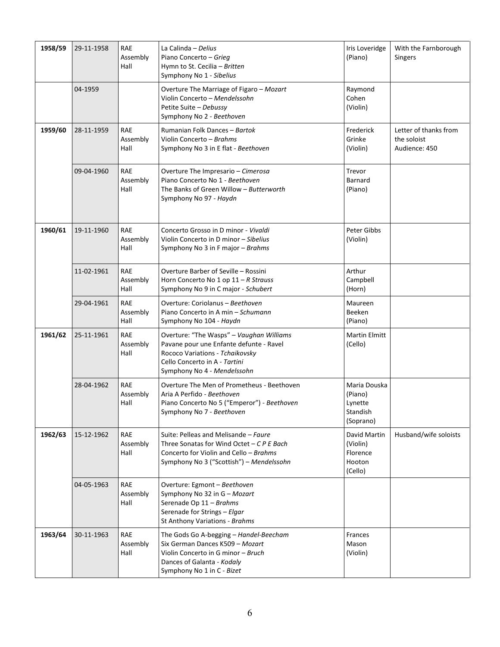| 1958/59 | 29-11-1958 | <b>RAE</b><br>Assembly<br>Hall | La Calinda - Delius<br>Piano Concerto - Grieg<br>Hymn to St. Cecilia - Britten<br>Symphony No 1 - Sibelius                                                                             | Iris Loveridge<br>(Piano)                                   | With the Farnborough<br><b>Singers</b>                |
|---------|------------|--------------------------------|----------------------------------------------------------------------------------------------------------------------------------------------------------------------------------------|-------------------------------------------------------------|-------------------------------------------------------|
|         | 04-1959    |                                | Overture The Marriage of Figaro - Mozart<br>Violin Concerto - Mendelssohn<br>Petite Suite - Debussy<br>Symphony No 2 - Beethoven                                                       | Raymond<br>Cohen<br>(Violin)                                |                                                       |
| 1959/60 | 28-11-1959 | <b>RAE</b><br>Assembly<br>Hall | Rumanian Folk Dances - Bartok<br>Violin Concerto - Brahms<br>Symphony No 3 in E flat - Beethoven                                                                                       | Frederick<br>Grinke<br>(Violin)                             | Letter of thanks from<br>the soloist<br>Audience: 450 |
|         | 09-04-1960 | RAE<br>Assembly<br>Hall        | Overture The Impresario - Cimerosa<br>Piano Concerto No 1 - Beethoven<br>The Banks of Green Willow - Butterworth<br>Symphony No 97 - Haydn                                             | Trevor<br>Barnard<br>(Piano)                                |                                                       |
| 1960/61 | 19-11-1960 | RAE<br>Assembly<br>Hall        | Concerto Grosso in D minor - Vivaldi<br>Violin Concerto in D minor - Sibelius<br>Symphony No 3 in F major - Brahms                                                                     | Peter Gibbs<br>(Violin)                                     |                                                       |
|         | 11-02-1961 | <b>RAE</b><br>Assembly<br>Hall | Overture Barber of Seville - Rossini<br>Horn Concerto No 1 op $11 - R$ Strauss<br>Symphony No 9 in C major - Schubert                                                                  | Arthur<br>Campbell<br>(Horn)                                |                                                       |
|         | 29-04-1961 | <b>RAE</b><br>Assembly<br>Hall | Overture: Coriolanus - Beethoven<br>Piano Concerto in A min - Schumann<br>Symphony No 104 - Haydn                                                                                      | Maureen<br>Beeken<br>(Piano)                                |                                                       |
| 1961/62 | 25-11-1961 | <b>RAE</b><br>Assembly<br>Hall | Overture: "The Wasps" - Vaughan Williams<br>Pavane pour une Enfante defunte - Ravel<br>Rococo Variations - Tchaikovsky<br>Cello Concerto in A - Tartini<br>Symphony No 4 - Mendelssohn | <b>Martin Elmitt</b><br>(Cello)                             |                                                       |
|         | 28-04-1962 | <b>RAE</b><br>Assembly<br>Hall | Overture The Men of Prometheus - Beethoven<br>Aria A Perfido - Beethoven<br>Piano Concerto No 5 ("Emperor") - Beethoven<br>Symphony No 7 - Beethoven                                   | Maria Douska<br>(Piano)<br>Lynette<br>Standish<br>(Soprano) |                                                       |
| 1962/63 | 15-12-1962 | <b>RAE</b><br>Assembly<br>Hall | Suite: Pelleas and Melisande - Faure<br>Three Sonatas for Wind Octet - $CPE$ Bach<br>Concerto for Violin and Cello - Brahms<br>Symphony No 3 ("Scottish") - Mendelssohn                | David Martin<br>(Violin)<br>Florence<br>Hooton<br>(Cello)   | Husband/wife soloists                                 |
|         | 04-05-1963 | <b>RAE</b><br>Assembly<br>Hall | Overture: Egmont - Beethoven<br>Symphony No 32 in G - Mozart<br>Serenade Op 11 - Brahms<br>Serenade for Strings - Elgar<br>St Anthony Variations - Brahms                              |                                                             |                                                       |
| 1963/64 | 30-11-1963 | RAE<br>Assembly<br>Hall        | The Gods Go A-begging - Handel-Beecham<br>Six German Dances K509 - Mozart<br>Violin Concerto in G minor - Bruch<br>Dances of Galanta - Kodaly<br>Symphony No 1 in C - Bizet            | Frances<br>Mason<br>(Violin)                                |                                                       |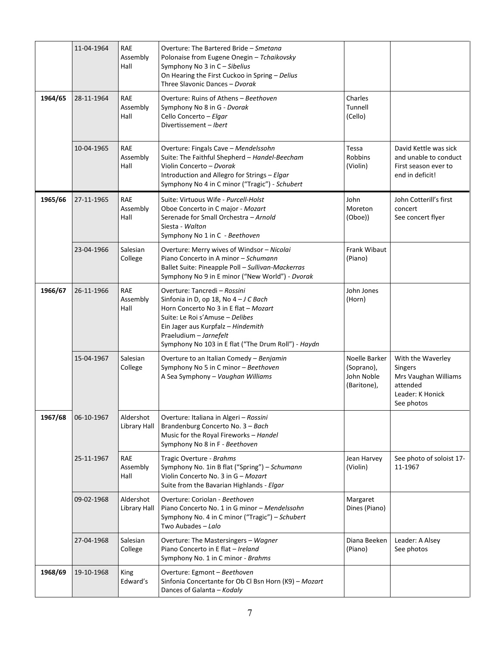|         | 11-04-1964 | <b>RAE</b><br>Assembly<br>Hall | Overture: The Bartered Bride - Smetana<br>Polonaise from Eugene Onegin - Tchaikovsky<br>Symphony No 3 in C - Sibelius<br>On Hearing the First Cuckoo in Spring - Delius<br>Three Slavonic Dances - Dvorak                                                                |                                                          |                                                                                                           |
|---------|------------|--------------------------------|--------------------------------------------------------------------------------------------------------------------------------------------------------------------------------------------------------------------------------------------------------------------------|----------------------------------------------------------|-----------------------------------------------------------------------------------------------------------|
| 1964/65 | 28-11-1964 | <b>RAE</b><br>Assembly<br>Hall | Overture: Ruins of Athens - Beethoven<br>Symphony No 8 in G - Dvorak<br>Cello Concerto - Elgar<br>Divertissement - Ibert                                                                                                                                                 | Charles<br>Tunnell<br>(Cello)                            |                                                                                                           |
|         | 10-04-1965 | <b>RAE</b><br>Assembly<br>Hall | Overture: Fingals Cave - Mendelssohn<br>Suite: The Faithful Shepherd - Handel-Beecham<br>Violin Concerto - Dvorak<br>Introduction and Allegro for Strings - Elgar<br>Symphony No 4 in C minor ("Tragic") - Schubert                                                      | Tessa<br><b>Robbins</b><br>(Violin)                      | David Kettle was sick<br>and unable to conduct<br>First season ever to<br>end in deficit!                 |
| 1965/66 | 27-11-1965 | <b>RAE</b><br>Assembly<br>Hall | Suite: Virtuous Wife - Purcell-Holst<br>Oboe Concerto in C major - Mozart<br>Serenade for Small Orchestra - Arnold<br>Siesta - Walton<br>Symphony No 1 in C - Beethoven                                                                                                  | John<br>Moreton<br>(Oboe))                               | John Cotterill's first<br>concert<br>See concert flyer                                                    |
|         | 23-04-1966 | Salesian<br>College            | Overture: Merry wives of Windsor - Nicolai<br>Piano Concerto in A minor - Schumann<br>Ballet Suite: Pineapple Poll - Sullivan-Mackerras<br>Symphony No 9 in E minor ("New World") - Dvorak                                                                               | Frank Wibaut<br>(Piano)                                  |                                                                                                           |
| 1966/67 | 26-11-1966 | <b>RAE</b><br>Assembly<br>Hall | Overture: Tancredi - Rossini<br>Sinfonia in D, op 18, No 4 - J C Bach<br>Horn Concerto No 3 in E flat - Mozart<br>Suite: Le Roi s'Amuse - Delibes<br>Ein Jager aus Kurpfalz - Hindemith<br>Praeludium - Jarnefelt<br>Symphony No 103 in E flat ("The Drum Roll") - Haydn | John Jones<br>(Horn)                                     |                                                                                                           |
|         | 15-04-1967 | Salesian<br>College            | Overture to an Italian Comedy - Benjamin<br>Symphony No 5 in C minor - Beethoven<br>A Sea Symphony - Vaughan Williams                                                                                                                                                    | Noelle Barker<br>(Soprano),<br>John Noble<br>(Baritone), | With the Waverley<br><b>Singers</b><br>Mrs Vaughan Williams<br>attended<br>Leader: K Honick<br>See photos |
| 1967/68 | 06-10-1967 | Aldershot<br>Library Hall      | Overture: Italiana in Algeri - Rossini<br>Brandenburg Concerto No. 3 - Bach<br>Music for the Royal Fireworks - Handel<br>Symphony No 8 in F - Beethoven                                                                                                                  |                                                          |                                                                                                           |
|         | 25-11-1967 | <b>RAE</b><br>Assembly<br>Hall | Tragic Overture - Brahms<br>Symphony No. 1in B flat ("Spring") - Schumann<br>Violin Concerto No. 3 in G - Mozart<br>Suite from the Bavarian Highlands - Elgar                                                                                                            | Jean Harvey<br>(Violin)                                  | See photo of soloist 17-<br>11-1967                                                                       |
|         | 09-02-1968 | Aldershot<br>Library Hall      | Overture: Coriolan - Beethoven<br>Piano Concerto No. 1 in G minor - Mendelssohn<br>Symphony No. 4 in C minor ("Tragic") - Schubert<br>Two Aubades - Lalo                                                                                                                 | Margaret<br>Dines (Piano)                                |                                                                                                           |
|         | 27-04-1968 | Salesian<br>College            | Overture: The Mastersingers - Wagner<br>Piano Concerto in E flat - Ireland<br>Symphony No. 1 in C minor - Brahms                                                                                                                                                         | Diana Beeken<br>(Piano)                                  | Leader: A Alsey<br>See photos                                                                             |
| 1968/69 | 19-10-1968 | King<br>Edward's               | Overture: Egmont - Beethoven<br>Sinfonia Concertante for Ob Cl Bsn Horn (K9) - Mozart<br>Dances of Galanta - Kodaly                                                                                                                                                      |                                                          |                                                                                                           |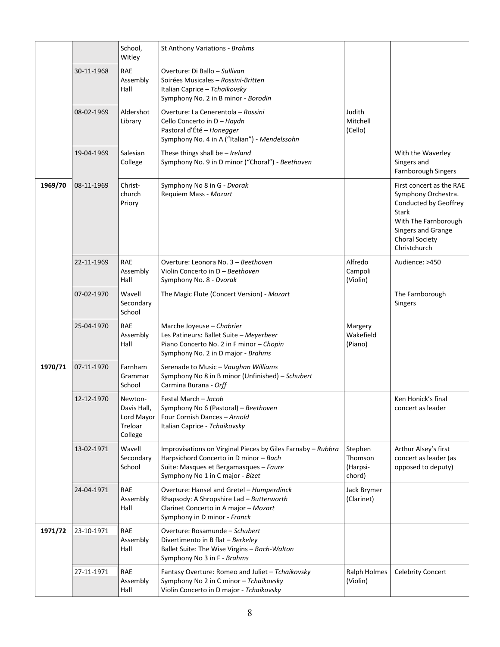|         |            | School,<br>Witley                                          | St Anthony Variations - Brahms                                                                                                                                                      |                                          |                                                                                                                                                                                 |
|---------|------------|------------------------------------------------------------|-------------------------------------------------------------------------------------------------------------------------------------------------------------------------------------|------------------------------------------|---------------------------------------------------------------------------------------------------------------------------------------------------------------------------------|
|         | 30-11-1968 | RAE<br>Assembly<br>Hall                                    | Overture: Di Ballo – Sullivan<br>Soirées Musicales - Rossini-Britten<br>Italian Caprice - Tchaikovsky<br>Symphony No. 2 in B minor - Borodin                                        |                                          |                                                                                                                                                                                 |
|         | 08-02-1969 | Aldershot<br>Library                                       | Overture: La Cenerentola - Rossini<br>Cello Concerto in D - Haydn<br>Pastoral d'Été - Honegger<br>Symphony No. 4 in A ("Italian") - Mendelssohn                                     | Judith<br>Mitchell<br>(Cello)            |                                                                                                                                                                                 |
|         | 19-04-1969 | Salesian<br>College                                        | These things shall be - Ireland<br>Symphony No. 9 in D minor ("Choral") - Beethoven                                                                                                 |                                          | With the Waverley<br>Singers and<br>Farnborough Singers                                                                                                                         |
| 1969/70 | 08-11-1969 | Christ-<br>church<br>Priory                                | Symphony No 8 in G - Dvorak<br>Requiem Mass - Mozart                                                                                                                                |                                          | First concert as the RAE<br>Symphony Orchestra.<br>Conducted by Geoffrey<br><b>Stark</b><br>With The Farnborough<br>Singers and Grange<br><b>Choral Society</b><br>Christchurch |
|         | 22-11-1969 | <b>RAE</b><br>Assembly<br>Hall                             | Overture: Leonora No. 3 - Beethoven<br>Violin Concerto in D - Beethoven<br>Symphony No. 8 - Dvorak                                                                                  | Alfredo<br>Campoli<br>(Violin)           | Audience: >450                                                                                                                                                                  |
|         | 07-02-1970 | Wavell<br>Secondary<br>School                              | The Magic Flute (Concert Version) - Mozart                                                                                                                                          |                                          | The Farnborough<br>Singers                                                                                                                                                      |
|         | 25-04-1970 | <b>RAE</b><br>Assembly<br>Hall                             | Marche Joyeuse - Chabrier<br>Les Patineurs: Ballet Suite - Meyerbeer<br>Piano Concerto No. 2 in F minor - Chopin<br>Symphony No. 2 in D major - Brahms                              | Margery<br>Wakefield<br>(Piano)          |                                                                                                                                                                                 |
| 1970/71 |            |                                                            |                                                                                                                                                                                     |                                          |                                                                                                                                                                                 |
|         | 07-11-1970 | Farnham<br>Grammar<br>School                               | Serenade to Music - Vaughan Williams<br>Symphony No 8 in B minor (Unfinished) - Schubert<br>Carmina Burana - Orff                                                                   |                                          |                                                                                                                                                                                 |
|         | 12-12-1970 | Newton-<br>Davis Hall,<br>Lord Mayor<br>Treloar<br>College | Festal March - Jacob<br>Symphony No 6 (Pastoral) - Beethoven<br>Four Cornish Dances - Arnold<br>Italian Caprice - Tchaikovsky                                                       |                                          | Ken Honick's final<br>concert as leader                                                                                                                                         |
|         | 13-02-1971 | Wavell<br>Secondary<br>School                              | Improvisations on Virginal Pieces by Giles Farnaby - Rubbra<br>Harpsichord Concerto in D minor - Bach<br>Suite: Masques et Bergamasques - Faure<br>Symphony No 1 in C major - Bizet | Stephen<br>Thomson<br>(Harpsi-<br>chord) | Arthur Alsey's first<br>concert as leader (as<br>opposed to deputy)                                                                                                             |
|         | 24-04-1971 | RAE<br>Assembly<br>Hall                                    | Overture: Hansel and Gretel - Humperdinck<br>Rhapsody: A Shropshire Lad - Butterworth<br>Clarinet Concerto in A major - Mozart<br>Symphony in D minor - Franck                      | Jack Brymer<br>(Clarinet)                |                                                                                                                                                                                 |
| 1971/72 | 23-10-1971 | <b>RAE</b><br>Assembly<br>Hall                             | Overture: Rosamunde - Schubert<br>Divertimento in B flat - Berkeley<br>Ballet Suite: The Wise Virgins - Bach-Walton<br>Symphony No 3 in F - Brahms                                  |                                          |                                                                                                                                                                                 |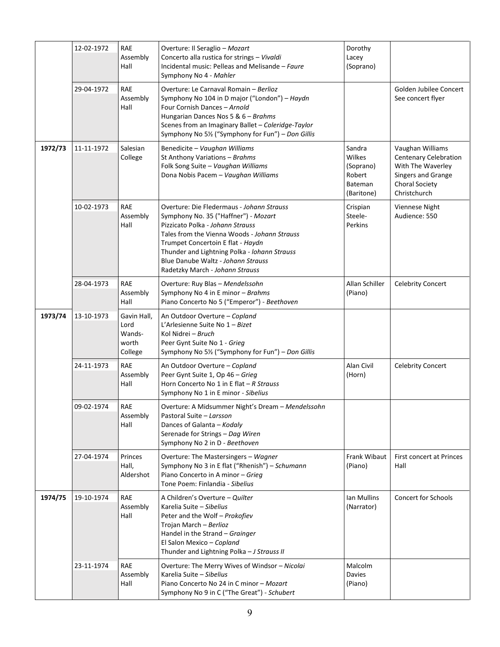|         | 12-02-1972 | <b>RAE</b><br>Assembly<br>Hall                    | Overture: Il Seraglio - Mozart<br>Concerto alla rustica for strings - Vivaldi<br>Incidental music: Pelleas and Melisande - Faure<br>Symphony No 4 - Mahler                                                                                                                                                                          | Dorothy<br>Lacey<br>(Soprano)                                    |                                                                                                                               |
|---------|------------|---------------------------------------------------|-------------------------------------------------------------------------------------------------------------------------------------------------------------------------------------------------------------------------------------------------------------------------------------------------------------------------------------|------------------------------------------------------------------|-------------------------------------------------------------------------------------------------------------------------------|
|         | 29-04-1972 | <b>RAE</b><br>Assembly<br>Hall                    | Overture: Le Carnaval Romain - Berlioz<br>Symphony No 104 in D major ("London") - Haydn<br>Four Cornish Dances - Arnold<br>Hungarian Dances Nos 5 & 6 - Brahms<br>Scenes from an Imaginary Ballet - Coleridge-Taylor<br>Symphony No 51/2 ("Symphony for Fun") - Don Gillis                                                          |                                                                  | Golden Jubilee Concert<br>See concert flyer                                                                                   |
| 1972/73 | 11-11-1972 | Salesian<br>College                               | Benedicite - Vaughan Williams<br>St Anthony Variations - Brahms<br>Folk Song Suite - Vaughan Williams<br>Dona Nobis Pacem - Vaughan Williams                                                                                                                                                                                        | Sandra<br>Wilkes<br>(Soprano)<br>Robert<br>Bateman<br>(Baritone) | Vaughan Williams<br><b>Centenary Celebration</b><br>With The Waverley<br>Singers and Grange<br>Choral Society<br>Christchurch |
|         | 10-02-1973 | <b>RAE</b><br>Assembly<br>Hall                    | Overture: Die Fledermaus - Johann Strauss<br>Symphony No. 35 ("Haffner") - Mozart<br>Pizzicato Polka - Johann Strauss<br>Tales from the Vienna Woods - Johann Strauss<br>Trumpet Concertoin E flat - Haydn<br>Thunder and Lightning Polka - lohann Strauss<br>Blue Danube Waltz - Johann Strauss<br>Radetzky March - Johann Strauss | Crispian<br>Steele-<br>Perkins                                   | Viennese Night<br>Audience: 550                                                                                               |
|         | 28-04-1973 | <b>RAE</b><br>Assembly<br>Hall                    | Overture: Ruy Blas - Mendelssohn<br>Symphony No 4 in E minor - Brahms<br>Piano Concerto No 5 ("Emperor") - Beethoven                                                                                                                                                                                                                | Allan Schiller<br>(Piano)                                        | <b>Celebrity Concert</b>                                                                                                      |
| 1973/74 | 13-10-1973 | Gavin Hall,<br>Lord<br>Wands-<br>worth<br>College | An Outdoor Overture - Copland<br>L'Arlesienne Suite No $1 - Bizet$<br>Kol Nidrei - Bruch<br>Peer Gynt Suite No 1 - Grieg<br>Symphony No 5½ ("Symphony for Fun") - Don Gillis                                                                                                                                                        |                                                                  |                                                                                                                               |
|         | 24-11-1973 | <b>RAE</b><br>Assembly<br>Hall                    | An Outdoor Overture - Copland<br>Peer Gynt Suite 1, Op 46 - Grieg<br>Horn Concerto No 1 in E flat $-R$ Strauss<br>Symphony No 1 in E minor - Sibelius                                                                                                                                                                               | Alan Civil<br>(Horn)                                             | Celebrity Concert                                                                                                             |
|         | 09-02-1974 | RAE<br>Assembly<br>Hall                           | Overture: A Midsummer Night's Dream - Mendelssohn<br>Pastoral Suite - Larsson<br>Dances of Galanta - Kodaly<br>Serenade for Strings - Dag Wiren<br>Symphony No 2 in D - Beethoven                                                                                                                                                   |                                                                  |                                                                                                                               |
|         | 27-04-1974 | Princes<br>Hall,<br>Aldershot                     | Overture: The Mastersingers - Wagner<br>Symphony No 3 in E flat ("Rhenish") - Schumann<br>Piano Concerto in A minor - Grieg<br>Tone Poem: Finlandia - Sibelius                                                                                                                                                                      | Frank Wibaut<br>(Piano)                                          | <b>First concert at Princes</b><br>Hall                                                                                       |
| 1974/75 | 19-10-1974 | <b>RAE</b><br>Assembly<br>Hall                    | A Children's Overture - Quilter<br>Karelia Suite – Sibelius<br>Peter and the Wolf - Prokofiev<br>Trojan March - Berlioz<br>Handel in the Strand - Grainger<br>El Salon Mexico - Copland<br>Thunder and Lightning Polka - J Strauss II                                                                                               | Ian Mullins<br>(Narrator)                                        | <b>Concert for Schools</b>                                                                                                    |
|         | 23-11-1974 | <b>RAE</b><br>Assembly<br>Hall                    | Overture: The Merry Wives of Windsor - Nicolai<br>Karelia Suite - Sibelius<br>Piano Concerto No 24 in C minor - Mozart<br>Symphony No 9 in C ("The Great") - Schubert                                                                                                                                                               | Malcolm<br>Davies<br>(Piano)                                     |                                                                                                                               |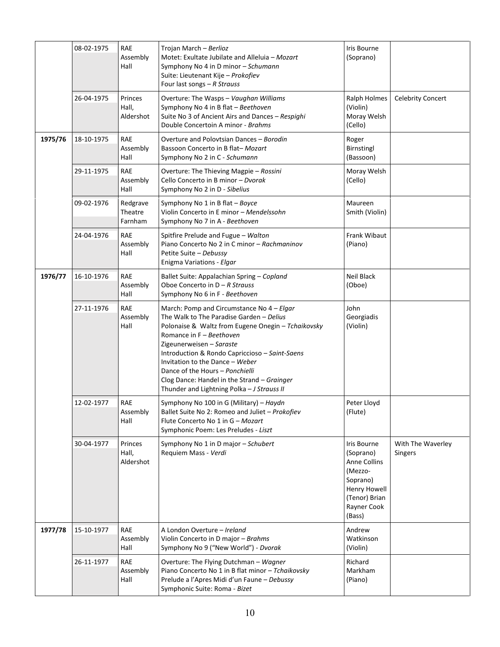|         | 08-02-1975 | RAE<br>Assembly<br>Hall        | Trojan March - Berlioz<br>Motet: Exultate Jubilate and Alleluia - Mozart<br>Symphony No 4 in D minor - Schumann<br>Suite: Lieutenant Kije - Prokofiev<br>Four last songs $-R$ Strauss                                                                                                                                                                                                                                    | <b>Iris Bourne</b><br>(Soprano)                                                                                                  |                              |
|---------|------------|--------------------------------|--------------------------------------------------------------------------------------------------------------------------------------------------------------------------------------------------------------------------------------------------------------------------------------------------------------------------------------------------------------------------------------------------------------------------|----------------------------------------------------------------------------------------------------------------------------------|------------------------------|
|         | 26-04-1975 | Princes<br>Hall,<br>Aldershot  | Overture: The Wasps - Vaughan Williams<br>Symphony No 4 in B flat - Beethoven<br>Suite No 3 of Ancient Airs and Dances - Respighi<br>Double Concertoin A minor - Brahms                                                                                                                                                                                                                                                  | Ralph Holmes<br>(Violin)<br>Moray Welsh<br>(Cello)                                                                               | <b>Celebrity Concert</b>     |
| 1975/76 | 18-10-1975 | RAE<br>Assembly<br>Hall        | Overture and Polovtsian Dances - Borodin<br>Bassoon Concerto in B flat-Mozart<br>Symphony No 2 in C - Schumann                                                                                                                                                                                                                                                                                                           | Roger<br>Birnstingl<br>(Bassoon)                                                                                                 |                              |
|         | 29-11-1975 | RAE<br>Assembly<br>Hall        | Overture: The Thieving Magpie - Rossini<br>Cello Concerto in B minor - Dvorak<br>Symphony No 2 in D - Sibelius                                                                                                                                                                                                                                                                                                           | Moray Welsh<br>(Cello)                                                                                                           |                              |
|         | 09-02-1976 | Redgrave<br>Theatre<br>Farnham | Symphony No 1 in B flat - Boyce<br>Violin Concerto in E minor - Mendelssohn<br>Symphony No 7 in A - Beethoven                                                                                                                                                                                                                                                                                                            | Maureen<br>Smith (Violin)                                                                                                        |                              |
|         | 24-04-1976 | <b>RAE</b><br>Assembly<br>Hall | Spitfire Prelude and Fugue - Walton<br>Piano Concerto No 2 in C minor - Rachmaninov<br>Petite Suite - Debussy<br>Enigma Variations - Elgar                                                                                                                                                                                                                                                                               | Frank Wibaut<br>(Piano)                                                                                                          |                              |
| 1976/77 | 16-10-1976 | <b>RAE</b><br>Assembly<br>Hall | Ballet Suite: Appalachian Spring - Copland<br>Oboe Concerto in $D - R$ Strauss<br>Symphony No 6 in F - Beethoven                                                                                                                                                                                                                                                                                                         | Neil Black<br>(Oboe)                                                                                                             |                              |
|         | 27-11-1976 | RAE<br>Assembly<br>Hall        | March: Pomp and Circumstance No 4 - Elgar<br>The Walk to The Paradise Garden - Delius<br>Polonaise & Waltz from Eugene Onegin - Tchaikovsky<br>Romance in F - Beethoven<br>Zigeunerweisen - Saraste<br>Introduction & Rondo Capriccioso - Saint-Saens<br>Invitation to the Dance - Weber<br>Dance of the Hours - Ponchielli<br>Clog Dance: Handel in the Strand - Grainger<br>Thunder and Lightning Polka - J Strauss II | John<br>Georgiadis<br>(Violin)                                                                                                   |                              |
|         | 12-02-1977 | <b>RAE</b><br>Assembly<br>Hall | Symphony No 100 in G (Military) - Haydn<br>Ballet Suite No 2: Romeo and Juliet - Prokofiev<br>Flute Concerto No 1 in G - Mozart<br>Symphonic Poem: Les Preludes - Liszt                                                                                                                                                                                                                                                  | Peter Lloyd<br>(Flute)                                                                                                           |                              |
|         | 30-04-1977 | Princes<br>Hall,<br>Aldershot  | Symphony No 1 in D major - Schubert<br>Requiem Mass - Verdi                                                                                                                                                                                                                                                                                                                                                              | Iris Bourne<br>(Soprano)<br><b>Anne Collins</b><br>(Mezzo-<br>Soprano)<br>Henry Howell<br>(Tenor) Brian<br>Rayner Cook<br>(Bass) | With The Waverley<br>Singers |
| 1977/78 | 15-10-1977 | <b>RAE</b><br>Assembly<br>Hall | A London Overture - Ireland<br>Violin Concerto in D major - Brahms<br>Symphony No 9 ("New World") - Dvorak                                                                                                                                                                                                                                                                                                               | Andrew<br>Watkinson<br>(Violin)                                                                                                  |                              |
|         | 26-11-1977 | <b>RAE</b><br>Assembly<br>Hall | Overture: The Flying Dutchman - Wagner<br>Piano Concerto No 1 in B flat minor - Tchaikovsky<br>Prelude a l'Apres Midi d'un Faune - Debussy<br>Symphonic Suite: Roma - Bizet                                                                                                                                                                                                                                              | Richard<br>Markham<br>(Piano)                                                                                                    |                              |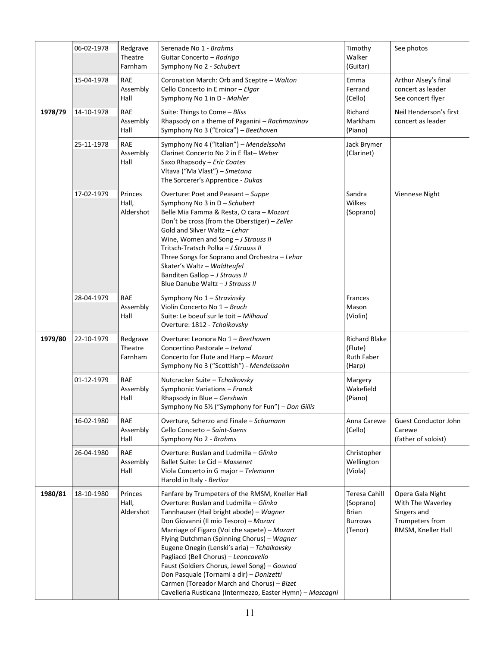|         | 06-02-1978 | Redgrave<br>Theatre<br>Farnham | Serenade No 1 - Brahms<br>Guitar Concerto - Rodrigo<br>Symphony No 2 - Schubert                                                                                                                                                                                                                                                                                                                                                                                                                                                                                            | Timothy<br>Walker<br>(Guitar)                                           | See photos                                                                                    |
|---------|------------|--------------------------------|----------------------------------------------------------------------------------------------------------------------------------------------------------------------------------------------------------------------------------------------------------------------------------------------------------------------------------------------------------------------------------------------------------------------------------------------------------------------------------------------------------------------------------------------------------------------------|-------------------------------------------------------------------------|-----------------------------------------------------------------------------------------------|
|         | 15-04-1978 | <b>RAE</b><br>Assembly<br>Hall | Coronation March: Orb and Sceptre - Walton<br>Cello Concerto in E minor - Elgar<br>Symphony No 1 in D - Mahler                                                                                                                                                                                                                                                                                                                                                                                                                                                             | Emma<br>Ferrand<br>(Cello)                                              | Arthur Alsey's final<br>concert as leader<br>See concert flyer                                |
| 1978/79 | 14-10-1978 | <b>RAE</b><br>Assembly<br>Hall | Suite: Things to Come - Bliss<br>Rhapsody on a theme of Paganini - Rachmaninov<br>Symphony No 3 ("Eroica") - Beethoven                                                                                                                                                                                                                                                                                                                                                                                                                                                     | Richard<br>Markham<br>(Piano)                                           | Neil Henderson's first<br>concert as leader                                                   |
|         | 25-11-1978 | <b>RAE</b><br>Assembly<br>Hall | Symphony No 4 ("Italian") - Mendelssohn<br>Clarinet Concerto No 2 in E flat-Weber<br>Saxo Rhapsody - Eric Coates<br>Vltava ("Ma Vlast") - Smetana<br>The Sorcerer's Apprentice - Dukas                                                                                                                                                                                                                                                                                                                                                                                     | Jack Brymer<br>(Clarinet)                                               |                                                                                               |
|         | 17-02-1979 | Princes<br>Hall,<br>Aldershot  | Overture: Poet and Peasant - Suppe<br>Symphony No 3 in D - Schubert<br>Belle Mia Famma & Resta, O cara - Mozart<br>Don't be cross (from the Oberstiger) - Zeller<br>Gold and Silver Waltz - Lehar<br>Wine, Women and Song - J Strauss II<br>Tritsch-Tratsch Polka - J Strauss II<br>Three Songs for Soprano and Orchestra - Lehar<br>Skater's Waltz - Waldteufel<br>Banditen Gallop - J Strauss II<br>Blue Danube Waltz - J Strauss II                                                                                                                                     | Sandra<br>Wilkes<br>(Soprano)                                           | Viennese Night                                                                                |
|         | 28-04-1979 | <b>RAE</b><br>Assembly<br>Hall | Symphony No 1 - Stravinsky<br>Violin Concerto No 1 - Bruch<br>Suite: Le boeuf sur le toit - Milhaud<br>Overture: 1812 - Tchaikovsky                                                                                                                                                                                                                                                                                                                                                                                                                                        | Frances<br>Mason<br>(Violin)                                            |                                                                                               |
| 1979/80 | 22-10-1979 | Redgrave<br>Theatre<br>Farnham | Overture: Leonora No 1 - Beethoven<br>Concertino Pastorale - Ireland<br>Concerto for Flute and Harp - Mozart<br>Symphony No 3 ("Scottish") - Mendelssohn                                                                                                                                                                                                                                                                                                                                                                                                                   | <b>Richard Blake</b><br>(Flute)<br><b>Ruth Faber</b><br>(Harp)          |                                                                                               |
|         | 01-12-1979 | <b>RAE</b><br>Assembly<br>Hall | Nutcracker Suite - Tchaikovsky<br>Symphonic Variations - Franck<br>Rhapsody in Blue - Gershwin<br>Symphony No 51/2 ("Symphony for Fun") - Don Gillis                                                                                                                                                                                                                                                                                                                                                                                                                       | Margery<br>Wakefield<br>(Piano)                                         |                                                                                               |
|         | 16-02-1980 | RAE<br>Assembly<br>Hall        | Overture, Scherzo and Finale - Schumann<br>Cello Concerto - Saint-Saens<br>Symphony No 2 - Brahms                                                                                                                                                                                                                                                                                                                                                                                                                                                                          | Anna Carewe<br>(Cello)                                                  | <b>Guest Conductor John</b><br>Carewe<br>(father of soloist)                                  |
|         | 26-04-1980 | RAE<br>Assembly<br>Hall        | Overture: Ruslan and Ludmilla - Glinka<br>Ballet Suite: Le Cid - Massenet<br>Viola Concerto in G major - Telemann<br>Harold in Italy - Berlioz                                                                                                                                                                                                                                                                                                                                                                                                                             | Christopher<br>Wellington<br>(Viola)                                    |                                                                                               |
| 1980/81 | 18-10-1980 | Princes<br>Hall,<br>Aldershot  | Fanfare by Trumpeters of the RMSM, Kneller Hall<br>Overture: Ruslan and Ludmilla - Glinka<br>Tannhauser (Hail bright abode) - Wagner<br>Don Giovanni (Il mio Tesoro) - Mozart<br>Marriage of Figaro (Voi che sapete) - Mozart<br>Flying Dutchman (Spinning Chorus) - Wagner<br>Eugene Onegin (Lenski's aria) - Tchaikovsky<br>Pagliacci (Bell Chorus) - Leoncavello<br>Faust (Soldiers Chorus, Jewel Song) - Gounod<br>Don Pasquale (Tornami a dir) - Donizetti<br>Carmen (Toreador March and Chorus) - Bizet<br>Cavelleria Rusticana (Intermezzo, Easter Hymn) - Mascagni | <b>Teresa Cahill</b><br>(Soprano)<br>Brian<br><b>Burrows</b><br>(Tenor) | Opera Gala Night<br>With The Waverley<br>Singers and<br>Trumpeters from<br>RMSM, Kneller Hall |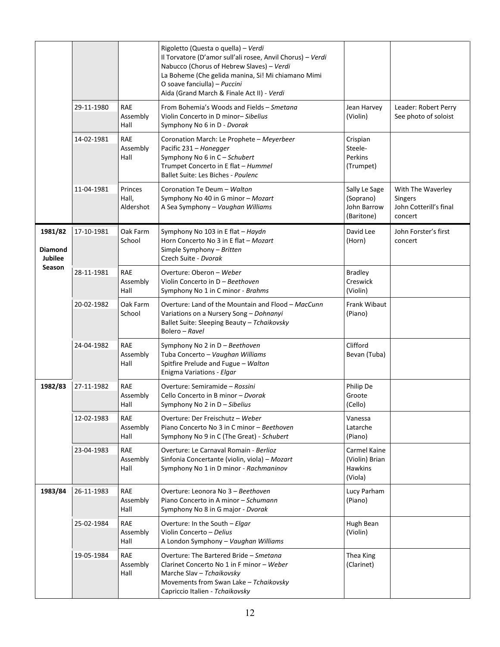|                                         |            |                                | Rigoletto (Questa o quella) - Verdi<br>Il Torvatore (D'amor sull'ali rosee, Anvil Chorus) - Verdi<br>Nabucco (Chorus of Hebrew Slaves) - Verdi<br>La Boheme (Che gelida manina, Si! Mi chiamano Mimi<br>O soave fanciulla) - Puccini<br>Aida (Grand March & Finale Act II) - Verdi |                                                             |                                                                          |
|-----------------------------------------|------------|--------------------------------|------------------------------------------------------------------------------------------------------------------------------------------------------------------------------------------------------------------------------------------------------------------------------------|-------------------------------------------------------------|--------------------------------------------------------------------------|
|                                         | 29-11-1980 | <b>RAE</b><br>Assembly<br>Hall | From Bohemia's Woods and Fields - Smetana<br>Violin Concerto in D minor-Sibelius<br>Symphony No 6 in D - Dvorak                                                                                                                                                                    | Jean Harvey<br>(Violin)                                     | Leader: Robert Perry<br>See photo of soloist                             |
|                                         | 14-02-1981 | <b>RAE</b><br>Assembly<br>Hall | Coronation March: Le Prophete - Meyerbeer<br>Pacific 231 - Honegger<br>Symphony No 6 in C - Schubert<br>Trumpet Concerto in E flat - Hummel<br>Ballet Suite: Les Biches - Poulenc                                                                                                  | Crispian<br>Steele-<br>Perkins<br>(Trumpet)                 |                                                                          |
|                                         | 11-04-1981 | Princes<br>Hall,<br>Aldershot  | Coronation Te Deum - Walton<br>Symphony No 40 in G minor - Mozart<br>A Sea Symphony - Vaughan Williams                                                                                                                                                                             | Sally Le Sage<br>(Soprano)<br>John Barrow<br>(Baritone)     | With The Waverley<br><b>Singers</b><br>John Cotterill's final<br>concert |
| 1981/82<br>Diamond<br>Jubilee<br>Season | 17-10-1981 | Oak Farm<br>School             | Symphony No 103 in E flat - Haydn<br>Horn Concerto No 3 in E flat - Mozart<br>Simple Symphony - Britten<br>Czech Suite - Dvorak                                                                                                                                                    | David Lee<br>(Horn)                                         | John Forster's first<br>concert                                          |
|                                         | 28-11-1981 | <b>RAE</b><br>Assembly<br>Hall | Overture: Oberon - Weber<br>Violin Concerto in D - Beethoven<br>Symphony No 1 in C minor - Brahms                                                                                                                                                                                  | <b>Bradley</b><br>Creswick<br>(Violin)                      |                                                                          |
|                                         | 20-02-1982 | Oak Farm<br>School             | Overture: Land of the Mountain and Flood - MacCunn<br>Variations on a Nursery Song - Dohnanyi<br>Ballet Suite: Sleeping Beauty - Tchaikovsky<br>Bolero – Ravel                                                                                                                     | Frank Wibaut<br>(Piano)                                     |                                                                          |
|                                         | 24-04-1982 | <b>RAE</b><br>Assembly<br>Hall | Symphony No 2 in D - Beethoven<br>Tuba Concerto - Vaughan Williams<br>Spitfire Prelude and Fugue - Walton<br>Enigma Variations - Elgar                                                                                                                                             | Clifford<br>Bevan (Tuba)                                    |                                                                          |
| 1982/83                                 | 27-11-1982 | <b>RAE</b><br>Assembly<br>Hall | Overture: Semiramide - Rossini<br>Cello Concerto in B minor - Dvorak<br>Symphony No 2 in D - Sibelius                                                                                                                                                                              | Philip De<br>Groote<br>(Cello)                              |                                                                          |
|                                         | 12-02-1983 | <b>RAE</b><br>Assembly<br>Hall | Overture: Der Freischutz - Weber<br>Piano Concerto No 3 in C minor - Beethoven<br>Symphony No 9 in C (The Great) - Schubert                                                                                                                                                        | Vanessa<br>Latarche<br>(Piano)                              |                                                                          |
|                                         | 23-04-1983 | <b>RAE</b><br>Assembly<br>Hall | Overture: Le Carnaval Romain - Berlioz<br>Sinfonia Concertante (violin, viola) - Mozart<br>Symphony No 1 in D minor - Rachmaninov                                                                                                                                                  | Carmel Kaine<br>(Violin) Brian<br><b>Hawkins</b><br>(Viola) |                                                                          |
| 1983/84                                 | 26-11-1983 | RAE<br>Assembly<br>Hall        | Overture: Leonora No 3 - Beethoven<br>Piano Concerto in A minor - Schumann<br>Symphony No 8 in G major - Dvorak                                                                                                                                                                    | Lucy Parham<br>(Piano)                                      |                                                                          |
|                                         | 25-02-1984 | <b>RAE</b><br>Assembly<br>Hall | Overture: In the South - Elgar<br>Violin Concerto - Delius<br>A London Symphony - Vaughan Williams                                                                                                                                                                                 | Hugh Bean<br>(Violin)                                       |                                                                          |
|                                         | 19-05-1984 | <b>RAE</b><br>Assembly<br>Hall | Overture: The Bartered Bride - Smetana<br>Clarinet Concerto No 1 in F minor - Weber<br>Marche Slav - Tchaikovsky<br>Movements from Swan Lake - Tchaikovsky<br>Capriccio Italien - Tchaikovsky                                                                                      | Thea King<br>(Clarinet)                                     |                                                                          |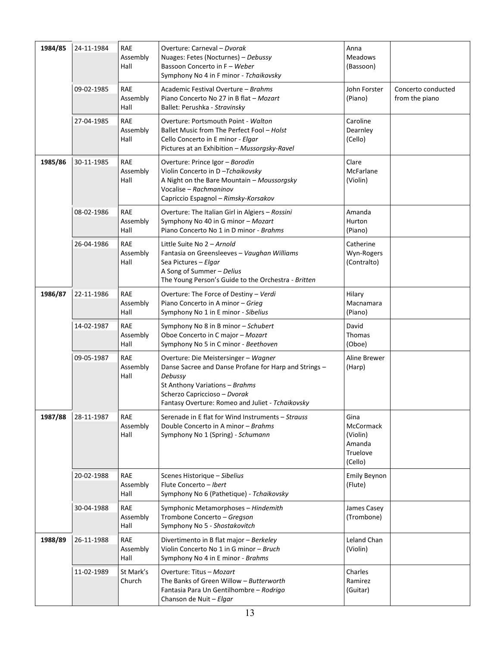| 1984/85 | 24-11-1984 | <b>RAE</b><br>Assembly<br>Hall | Overture: Carneval - Dvorak<br>Nuages: Fetes (Nocturnes) - Debussy<br>Bassoon Concerto in F - Weber<br>Symphony No 4 in F minor - Tchaikovsky                                                                                  | Anna<br>Meadows<br>(Bassoon)                                          |                                      |
|---------|------------|--------------------------------|--------------------------------------------------------------------------------------------------------------------------------------------------------------------------------------------------------------------------------|-----------------------------------------------------------------------|--------------------------------------|
|         | 09-02-1985 | <b>RAE</b><br>Assembly<br>Hall | Academic Festival Overture - Brahms<br>Piano Concerto No 27 in B flat - Mozart<br>Ballet: Perushka - Stravinsky                                                                                                                | John Forster<br>(Piano)                                               | Concerto conducted<br>from the piano |
|         | 27-04-1985 | <b>RAE</b><br>Assembly<br>Hall | Overture: Portsmouth Point - Walton<br>Ballet Music from The Perfect Fool - Holst<br>Cello Concerto in E minor - Elgar<br>Pictures at an Exhibition - Mussorgsky-Ravel                                                         | Caroline<br>Dearnley<br>(Cello)                                       |                                      |
| 1985/86 | 30-11-1985 | <b>RAE</b><br>Assembly<br>Hall | Overture: Prince Igor - Borodin<br>Violin Concerto in D-Tchaikovsky<br>A Night on the Bare Mountain - Moussorgsky<br>Vocalise - Rachmaninov<br>Capriccio Espagnol - Rimsky-Korsakov                                            | Clare<br>McFarlane<br>(Violin)                                        |                                      |
|         | 08-02-1986 | <b>RAE</b><br>Assembly<br>Hall | Overture: The Italian Girl in Algiers - Rossini<br>Symphony No 40 in G minor - Mozart<br>Piano Concerto No 1 in D minor - Brahms                                                                                               | Amanda<br>Hurton<br>(Piano)                                           |                                      |
|         | 26-04-1986 | <b>RAE</b><br>Assembly<br>Hall | Little Suite No 2 - Arnold<br>Fantasia on Greensleeves - Vaughan Williams<br>Sea Pictures - Elgar<br>A Song of Summer - Delius<br>The Young Person's Guide to the Orchestra - Britten                                          | Catherine<br>Wyn-Rogers<br>(Contralto)                                |                                      |
| 1986/87 | 22-11-1986 | <b>RAE</b><br>Assembly<br>Hall | Overture: The Force of Destiny - Verdi<br>Piano Concerto in A minor - Grieg<br>Symphony No 1 in E minor - Sibelius                                                                                                             | Hilary<br>Macnamara<br>(Piano)                                        |                                      |
|         | 14-02-1987 | <b>RAE</b><br>Assembly<br>Hall | Symphony No 8 in B minor - Schubert<br>Oboe Concerto in C major - Mozart<br>Symphony No 5 in C minor - Beethoven                                                                                                               | David<br>Thomas<br>(Oboe)                                             |                                      |
|         | 09-05-1987 | <b>RAE</b><br>Assembly<br>Hall | Overture: Die Meistersinger - Wagner<br>Danse Sacree and Danse Profane for Harp and Strings -<br>Debussy<br>St Anthony Variations - Brahms<br>Scherzo Capriccioso - Dvorak<br>Fantasy Overture: Romeo and Juliet - Tchaikovsky | Aline Brewer<br>(Harp)                                                |                                      |
| 1987/88 | 28-11-1987 | RAE<br>Assembly<br>Hall        | Serenade in E flat for Wind Instruments - Strauss<br>Double Concerto in A minor - Brahms<br>Symphony No 1 (Spring) - Schumann                                                                                                  | Gina<br><b>McCormack</b><br>(Violin)<br>Amanda<br>Truelove<br>(Cello) |                                      |
|         | 20-02-1988 | RAE<br>Assembly<br>Hall        | Scenes Historique - Sibelius<br>Flute Concerto - Ibert<br>Symphony No 6 (Pathetique) - Tchaikovsky                                                                                                                             | <b>Emily Beynon</b><br>(Flute)                                        |                                      |
|         | 30-04-1988 | <b>RAE</b><br>Assembly<br>Hall | Symphonic Metamorphoses - Hindemith<br>Trombone Concerto - Gregson<br>Symphony No 5 - Shostakovitch                                                                                                                            | James Casey<br>(Trombone)                                             |                                      |
| 1988/89 | 26-11-1988 | RAE<br>Assembly<br>Hall        | Divertimento in B flat major - Berkeley<br>Violin Concerto No 1 in G minor - Bruch<br>Symphony No 4 in E minor - Brahms                                                                                                        | Leland Chan<br>(Violin)                                               |                                      |
|         | 11-02-1989 | St Mark's<br>Church            | Overture: Titus - Mozart<br>The Banks of Green Willow - Butterworth<br>Fantasia Para Un Gentilhombre - Rodrigo<br>Chanson de Nuit - Elgar                                                                                      | Charles<br>Ramirez<br>(Guitar)                                        |                                      |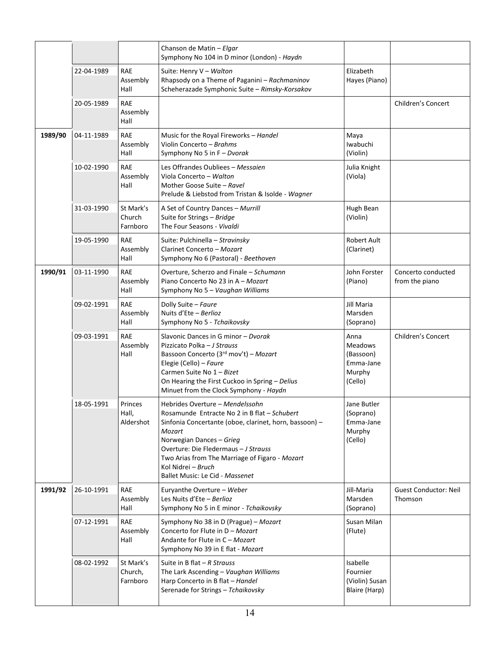|         |            |                                  | Chanson de Matin - Elgar<br>Symphony No 104 in D minor (London) - Haydn                                                                                                                                                                                                                                                            |                                                                       |                                         |
|---------|------------|----------------------------------|------------------------------------------------------------------------------------------------------------------------------------------------------------------------------------------------------------------------------------------------------------------------------------------------------------------------------------|-----------------------------------------------------------------------|-----------------------------------------|
|         | 22-04-1989 | <b>RAE</b><br>Assembly<br>Hall   | Suite: Henry V - Walton<br>Rhapsody on a Theme of Paganini - Rachmaninov<br>Scheherazade Symphonic Suite - Rimsky-Korsakov                                                                                                                                                                                                         | Elizabeth<br>Hayes (Piano)                                            |                                         |
|         | 20-05-1989 | <b>RAE</b><br>Assembly<br>Hall   |                                                                                                                                                                                                                                                                                                                                    |                                                                       | Children's Concert                      |
| 1989/90 | 04-11-1989 | <b>RAE</b><br>Assembly<br>Hall   | Music for the Royal Fireworks - Handel<br>Violin Concerto - Brahms<br>Symphony No 5 in F - Dvorak                                                                                                                                                                                                                                  | Maya<br>Iwabuchi<br>(Violin)                                          |                                         |
|         | 10-02-1990 | <b>RAE</b><br>Assembly<br>Hall   | Les Offrandes Oubliees - Messaien<br>Viola Concerto - Walton<br>Mother Goose Suite - Ravel<br>Prelude & Liebstod from Tristan & Isolde - Wagner                                                                                                                                                                                    | Julia Knight<br>(Viola)                                               |                                         |
|         | 31-03-1990 | St Mark's<br>Church<br>Farnboro  | A Set of Country Dances - Murrill<br>Suite for Strings - Bridge<br>The Four Seasons - Vivaldi                                                                                                                                                                                                                                      | Hugh Bean<br>(Violin)                                                 |                                         |
|         | 19-05-1990 | RAE<br>Assembly<br>Hall          | Suite: Pulchinella – Stravinsky<br>Clarinet Concerto - Mozart<br>Symphony No 6 (Pastoral) - Beethoven                                                                                                                                                                                                                              | <b>Robert Ault</b><br>(Clarinet)                                      |                                         |
| 1990/91 | 03-11-1990 | <b>RAE</b><br>Assembly<br>Hall   | Overture, Scherzo and Finale - Schumann<br>Piano Concerto No 23 in A - Mozart<br>Symphony No 5 - Vaughan Williams                                                                                                                                                                                                                  | John Forster<br>(Piano)                                               | Concerto conducted<br>from the piano    |
|         | 09-02-1991 | <b>RAE</b><br>Assembly<br>Hall   | Dolly Suite - Faure<br>Nuits d'Ete - Berlioz<br>Symphony No 5 - Tchaikovsky                                                                                                                                                                                                                                                        | Jill Maria<br>Marsden<br>(Soprano)                                    |                                         |
|         | 09-03-1991 | <b>RAE</b><br>Assembly<br>Hall   | Slavonic Dances in G minor - Dvorak<br>Pizzicato Polka - J Strauss<br>Bassoon Concerto (3rd mov't) - Mozart<br>Elegie (Cello) - Faure<br>Carmen Suite No 1 - Bizet<br>On Hearing the First Cuckoo in Spring - Delius<br>Minuet from the Clock Symphony - Haydn                                                                     | Anna<br><b>Meadows</b><br>(Bassoon)<br>Emma-Jane<br>Murphy<br>(Cello) | Children's Concert                      |
|         | 18-05-1991 | Princes<br>Hall,<br>Aldershot    | Hebrides Overture - Mendelssohn<br>Rosamunde Entracte No 2 in B flat - Schubert<br>Sinfonia Concertante (oboe, clarinet, horn, bassoon) -<br>Mozart<br>Norwegian Dances - Grieg<br>Overture: Die Fledermaus - J Strauss<br>Two Arias from The Marriage of Figaro - Mozart<br>Kol Nidrei – Bruch<br>Ballet Music: Le Cid - Massenet | Jane Butler<br>(Soprano)<br>Emma-Jane<br>Murphy<br>(Cello)            |                                         |
| 1991/92 | 26-10-1991 | RAE<br>Assembly<br>Hall          | Euryanthe Overture - Weber<br>Les Nuits d'Ete - Berlioz<br>Symphony No 5 in E minor - Tchaikovsky                                                                                                                                                                                                                                  | Jill-Maria<br>Marsden<br>(Soprano)                                    | <b>Guest Conductor: Neil</b><br>Thomson |
|         | 07-12-1991 | <b>RAE</b><br>Assembly<br>Hall   | Symphony No 38 in D (Prague) - Mozart<br>Concerto for Flute in D - Mozart<br>Andante for Flute in C - Mozart<br>Symphony No 39 in E flat - Mozart                                                                                                                                                                                  | Susan Milan<br>(Flute)                                                |                                         |
|         | 08-02-1992 | St Mark's<br>Church,<br>Farnboro | Suite in B flat $-R$ Strauss<br>The Lark Ascending - Vaughan Williams<br>Harp Concerto in B flat - Handel<br>Serenade for Strings - Tchaikovsky                                                                                                                                                                                    | Isabelle<br>Fournier<br>(Violin) Susan<br>Blaire (Harp)               |                                         |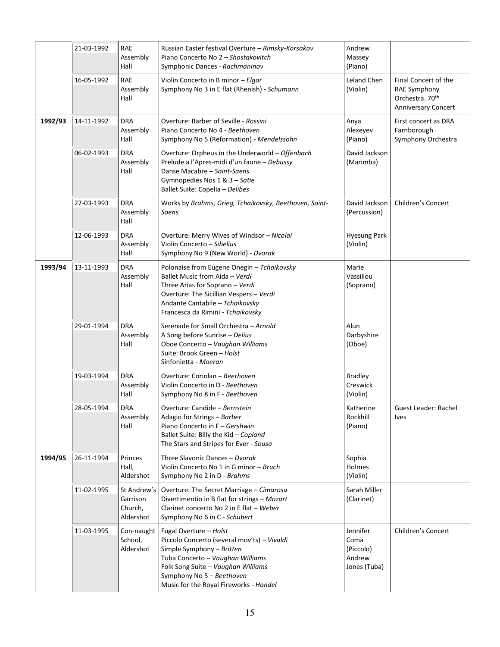|         | 21-03-1992 | <b>RAE</b><br>Assembly<br>Hall                  | Russian Easter festival Overture - Rimsky-Korsakov<br>Piano Concerto No 2 - Shostakovitch<br>Symphonic Dances - Rachmaninov                                                                                                                         | Andrew<br>Massey<br>(Piano)                             |                                                                                       |
|---------|------------|-------------------------------------------------|-----------------------------------------------------------------------------------------------------------------------------------------------------------------------------------------------------------------------------------------------------|---------------------------------------------------------|---------------------------------------------------------------------------------------|
|         | 16-05-1992 | <b>RAE</b><br>Assembly<br>Hall                  | Violin Concerto in B minor - Elgar<br>Symphony No 3 in E flat (Rhenish) - Schumann                                                                                                                                                                  | <b>Leland Chen</b><br>(Violin)                          | Final Concert of the<br>RAE Symphony<br>Orchestra. 70th<br><b>Anniversary Concert</b> |
| 1992/93 | 14-11-1992 | <b>DRA</b><br>Assembly<br>Hall                  | Overture: Barber of Seville - Rossini<br>Piano Concerto No 4 - Beethoven<br>Symphony No 5 (Reformation) - Mendelssohn                                                                                                                               | Anya<br>Alexeyev<br>(Piano)                             | First concert as DRA<br>Farnborough<br>Symphony Orchestra                             |
|         | 06-02-1993 | <b>DRA</b><br>Assembly<br>Hall                  | Overture: Orpheus in the Underworld - Offenbach<br>Prelude a l'Apres-midi d'un faune - Debussy<br>Danse Macabre - Saint-Saens<br>Gymnopedies Nos 1 & 3 - Satie<br>Ballet Suite: Copelia - Delibes                                                   | David Jackson<br>(Marimba)                              |                                                                                       |
|         | 27-03-1993 | <b>DRA</b><br>Assembly<br>Hall                  | Works by Brahms, Grieg, Tchaikovsky, Beethoven, Saint-<br>Saens                                                                                                                                                                                     | David Jackson<br>(Percussion)                           | Children's Concert                                                                    |
|         | 12-06-1993 | <b>DRA</b><br>Assembly<br>Hall                  | Overture: Merry Wives of Windsor - Nicolai<br>Violin Concerto - Sibelius<br>Symphony No 9 (New World) - Dvorak                                                                                                                                      | <b>Hyesung Park</b><br>(Violin)                         |                                                                                       |
| 1993/94 | 13-11-1993 | <b>DRA</b><br>Assembly<br>Hall                  | Polonaise from Eugene Onegin - Tchaikovsky<br>Ballet Music from Aida - Verdi<br>Three Arias for Soprano - Verdi<br>Overture: The Sicillian Vespers - Verdi<br>Andante Cantabile - Tchaikovsky<br>Francesca da Rimini - Tchaikovsky                  | Marie<br>Vassiliou<br>(Soprano)                         |                                                                                       |
|         | 29-01-1994 | <b>DRA</b><br>Assembly<br>Hall                  | Serenade for Small Orchestra - Arnold<br>A Song before Sunrise - Delius<br>Oboe Concerto - Vaughan Williams<br>Suite: Brook Green - Holst<br>Sinfonietta - Moeran                                                                                   | Alun<br>Darbyshire<br>(Oboe)                            |                                                                                       |
|         | 19-03-1994 | <b>DRA</b><br>Assembly<br>Hall                  | Overture: Coriolan - Beethoven<br>Violin Concerto in D - Beethoven<br>Symphony No 8 in F - Beethoven                                                                                                                                                | <b>Bradley</b><br>Creswick<br>(Violin)                  |                                                                                       |
|         | 28-05-1994 | <b>DRA</b><br>Assembly<br>Hall                  | Overture: Candide - Bernstein<br>Adagio for Strings - Barber<br>Piano Concerto in F - Gershwin<br>Ballet Suite: Billy the Kid - Copland<br>The Stars and Stripes for Ever - Sousa                                                                   | Katherine<br>Rockhill<br>(Piano)                        | Guest Leader: Rachel<br><b>Ives</b>                                                   |
| 1994/95 | 26-11-1994 | Princes<br>Hall,<br>Aldershot                   | Three Slavonic Dances - Dvorak<br>Violin Concerto No 1 in G minor - Bruch<br>Symphony No 2 in D - Brahms                                                                                                                                            | Sophia<br>Holmes<br>(Violin)                            |                                                                                       |
|         | 11-02-1995 | St Andrew's<br>Garrison<br>Church,<br>Aldershot | Overture: The Secret Marriage - Cimarosa<br>Divertimentio in B flat for strings - Mozart<br>Clarinet concerto No 2 in E flat - Weber<br>Symphony No 6 in C - Schubert                                                                               | Sarah Miller<br>(Clarinet)                              |                                                                                       |
|         | 11-03-1995 | Con-naught<br>School,<br>Aldershot              | Fugal Overture - Holst<br>Piccolo Concerto (several mov'ts) - Vivaldi<br>Simple Symphony - Britten<br>Tuba Concerto - Vaughan Williams<br>Folk Song Suite - Vaughan Williams<br>Symphony No 5 - Beethoven<br>Music for the Royal Fireworks - Handel | Jennifer<br>Coma<br>(Piccolo)<br>Andrew<br>Jones (Tuba) | Children's Concert                                                                    |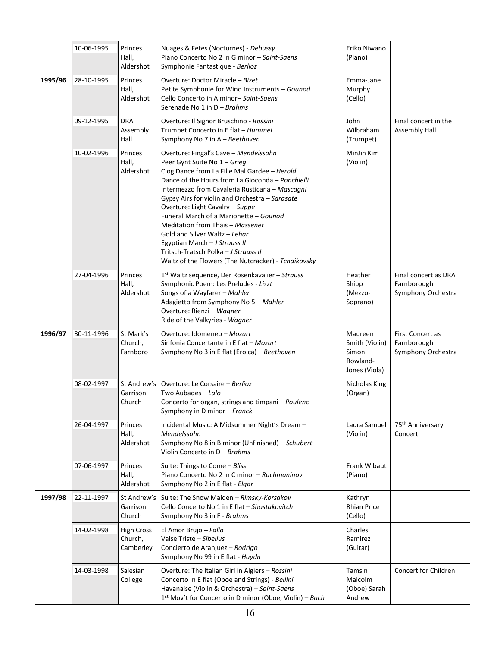|         | 10-06-1995 | Princes<br>Hall,<br>Aldershot             | Nuages & Fetes (Nocturnes) - Debussy<br>Piano Concerto No 2 in G minor - Saint-Saens<br>Symphonie Fantastique - Berlioz                                                                                                                                                                                                                                                                                                                                                                                                                                         | Eriko Niwano<br>(Piano)                                         |                                                           |
|---------|------------|-------------------------------------------|-----------------------------------------------------------------------------------------------------------------------------------------------------------------------------------------------------------------------------------------------------------------------------------------------------------------------------------------------------------------------------------------------------------------------------------------------------------------------------------------------------------------------------------------------------------------|-----------------------------------------------------------------|-----------------------------------------------------------|
| 1995/96 | 28-10-1995 | Princes<br>Hall,<br>Aldershot             | Overture: Doctor Miracle - Bizet<br>Petite Symphonie for Wind Instruments - Gounod<br>Cello Concerto in A minor-Saint-Saens<br>Serenade No 1 in $D - Brahms$                                                                                                                                                                                                                                                                                                                                                                                                    | Emma-Jane<br>Murphy<br>(Cello)                                  |                                                           |
|         | 09-12-1995 | <b>DRA</b><br>Assembly<br>Hall            | Overture: Il Signor Bruschino - Rossini<br>Trumpet Concerto in E flat - Hummel<br>Symphony No 7 in A - Beethoven                                                                                                                                                                                                                                                                                                                                                                                                                                                | John<br>Wilbraham<br>(Trumpet)                                  | Final concert in the<br><b>Assembly Hall</b>              |
|         | 10-02-1996 | Princes<br>Hall,<br>Aldershot             | Overture: Fingal's Cave - Mendelssohn<br>Peer Gynt Suite No 1 - Grieg<br>Clog Dance from La Fille Mal Gardee - Herold<br>Dance of the Hours from La Gioconda - Ponchielli<br>Intermezzo from Cavaleria Rusticana - Mascagni<br>Gypsy Airs for violin and Orchestra - Sarasate<br>Overture: Light Cavalry - Suppe<br>Funeral March of a Marionette - Gounod<br>Meditation from Thais - Massenet<br>Gold and Silver Waltz - Lehar<br>Egyptian March - J Strauss II<br>Tritsch-Tratsch Polka - J Strauss II<br>Waltz of the Flowers (The Nutcracker) - Tchaikovsky | MinJin Kim<br>(Violin)                                          |                                                           |
|         | 27-04-1996 | Princes<br>Hall,<br>Aldershot             | 1 <sup>st</sup> Waltz sequence, Der Rosenkavalier - Strauss<br>Symphonic Poem: Les Preludes - Liszt<br>Songs of a Wayfarer - Mahler<br>Adagietto from Symphony No 5 - Mahler<br>Overture: Rienzi - Wagner<br>Ride of the Valkyries - Wagner                                                                                                                                                                                                                                                                                                                     | Heather<br>Shipp<br>(Mezzo-<br>Soprano)                         | Final concert as DRA<br>Farnborough<br>Symphony Orchestra |
| 1996/97 | 30-11-1996 | St Mark's<br>Church,<br>Farnboro          | Overture: Idomeneo - Mozart<br>Sinfonia Concertante in E flat - Mozart<br>Symphony No 3 in E flat (Eroica) - Beethoven                                                                                                                                                                                                                                                                                                                                                                                                                                          | Maureen<br>Smith (Violin)<br>Simon<br>Rowland-<br>Jones (Viola) | First Concert as<br>Farnborough<br>Symphony Orchestra     |
|         | 08-02-1997 | St Andrew's<br>Garrison<br>Church         | Overture: Le Corsaire - Berlioz<br>Two Aubades – Lalo<br>Concerto for organ, strings and timpani - Poulenc<br>Symphony in D minor - Franck                                                                                                                                                                                                                                                                                                                                                                                                                      | Nicholas King<br>(Organ)                                        |                                                           |
|         | 26-04-1997 | Princes<br>Hall,<br>Aldershot             | Incidental Music: A Midsummer Night's Dream -<br>Mendelssohn<br>Symphony No 8 in B minor (Unfinished) - Schubert<br>Violin Concerto in D - Brahms                                                                                                                                                                                                                                                                                                                                                                                                               | Laura Samuel<br>(Violin)                                        | 75 <sup>th</sup> Anniversary<br>Concert                   |
|         | 07-06-1997 | Princes<br>Hall,<br>Aldershot             | Suite: Things to Come - Bliss<br>Piano Concerto No 2 in C minor - Rachmaninov<br>Symphony No 2 in E flat - Elgar                                                                                                                                                                                                                                                                                                                                                                                                                                                | Frank Wibaut<br>(Piano)                                         |                                                           |
| 1997/98 | 22-11-1997 | St Andrew's<br>Garrison<br>Church         | Suite: The Snow Maiden - Rimsky-Korsakov<br>Cello Concerto No 1 in E flat - Shostakovitch<br>Symphony No 3 in F - Brahms                                                                                                                                                                                                                                                                                                                                                                                                                                        | Kathryn<br><b>Rhian Price</b><br>(Cello)                        |                                                           |
|         | 14-02-1998 | <b>High Cross</b><br>Church,<br>Camberley | El Amor Brujo - Falla<br>Valse Triste - Sibelius<br>Concierto de Aranjuez - Rodrigo<br>Symphony No 99 in E flat - Haydn                                                                                                                                                                                                                                                                                                                                                                                                                                         | Charles<br>Ramirez<br>(Guitar)                                  |                                                           |
|         | 14-03-1998 | Salesian<br>College                       | Overture: The Italian Girl in Algiers - Rossini<br>Concerto in E flat (Oboe and Strings) - Bellini<br>Havanaise (Violin & Orchestra) - Saint-Saens<br>1 <sup>st</sup> Mov't for Concerto in D minor (Oboe, Violin) - Bach                                                                                                                                                                                                                                                                                                                                       | Tamsin<br>Malcolm<br>(Oboe) Sarah<br>Andrew                     | Concert for Children                                      |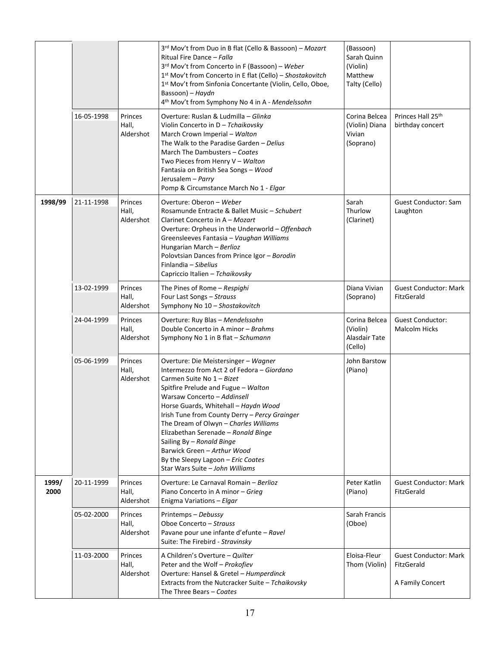|               |            |                                      | 3rd Mov't from Duo in B flat (Cello & Bassoon) - Mozart<br>Ritual Fire Dance - Falla<br>3rd Mov't from Concerto in F (Bassoon) - Weber<br>1st Mov't from Concerto in E flat (Cello) - Shostakovitch<br>1st Mov't from Sinfonia Concertante (Violin, Cello, Oboe,<br>Bassoon) - Haydn<br>4th Mov't from Symphony No 4 in A - Mendelssohn                                                                                                                                                             | (Bassoon)<br>Sarah Quinn<br>(Violin)<br>Matthew<br>Talty (Cello) |                                                                |
|---------------|------------|--------------------------------------|-----------------------------------------------------------------------------------------------------------------------------------------------------------------------------------------------------------------------------------------------------------------------------------------------------------------------------------------------------------------------------------------------------------------------------------------------------------------------------------------------------|------------------------------------------------------------------|----------------------------------------------------------------|
|               | 16-05-1998 | Princes<br>Hall,<br>Aldershot        | Overture: Ruslan & Ludmilla - Glinka<br>Violin Concerto in D - Tchaikovsky<br>March Crown Imperial - Walton<br>The Walk to the Paradise Garden - Delius<br>March The Dambusters - Coates<br>Two Pieces from Henry V - Walton<br>Fantasia on British Sea Songs - Wood<br>Jerusalem - Parry<br>Pomp & Circumstance March No 1 - Elgar                                                                                                                                                                 | Corina Belcea<br>(Violin) Diana<br>Vivian<br>(Soprano)           | Princes Hall 25th<br>birthday concert                          |
| 1998/99       | 21-11-1998 | Princes<br>Hall,<br>Aldershot        | Overture: Oberon - Weber<br>Rosamunde Entracte & Ballet Music - Schubert<br>Clarinet Concerto in A - Mozart<br>Overture: Orpheus in the Underworld - Offenbach<br>Greensleeves Fantasia - Vaughan Williams<br>Hungarian March - Berlioz<br>Polovtsian Dances from Prince Igor - Borodin<br>Finlandia - Sibelius<br>Capriccio Italien - Tchaikovsky                                                                                                                                                  | Sarah<br>Thurlow<br>(Clarinet)                                   | <b>Guest Conductor: Sam</b><br>Laughton                        |
|               | 13-02-1999 | Princes<br>Hall,<br>Aldershot        | The Pines of Rome - Respighi<br>Four Last Songs - Strauss<br>Symphony No 10 - Shostakovitch                                                                                                                                                                                                                                                                                                                                                                                                         | Diana Vivian<br>(Soprano)                                        | <b>Guest Conductor: Mark</b><br>FitzGerald                     |
|               | 24-04-1999 | Princes<br>Hall,<br>Aldershot        | Overture: Ruy Blas - Mendelssohn<br>Double Concerto in A minor - Brahms<br>Symphony No 1 in B flat - Schumann                                                                                                                                                                                                                                                                                                                                                                                       | Corina Belcea<br>(Violin)<br>Alasdair Tate<br>(Cello)            | <b>Guest Conductor:</b><br><b>Malcolm Hicks</b>                |
|               | 05-06-1999 | Princes<br>Hall,<br>Aldershot        | Overture: Die Meistersinger - Wagner<br>Intermezzo from Act 2 of Fedora – Giordano<br>Carmen Suite No 1 - Bizet<br>Spitfire Prelude and Fugue - Walton<br>Warsaw Concerto - Addinsell<br>Horse Guards, Whitehall - Haydn Wood<br>Irish Tune from County Derry - Percy Grainger<br>The Dream of Olwyn - Charles Williams<br>Elizabethan Serenade - Ronald Binge<br>Sailing By - Ronald Binge<br>Barwick Green - Arthur Wood<br>By the Sleepy Lagoon - Eric Coates<br>Star Wars Suite - John Williams | John Barstow<br>(Piano)                                          |                                                                |
| 1999/<br>2000 | 20-11-1999 | Princes<br>Hall,<br>Aldershot        | Overture: Le Carnaval Romain - Berlioz<br>Piano Concerto in A minor - Grieg<br>Enigma Variations - Elgar                                                                                                                                                                                                                                                                                                                                                                                            | Peter Katlin<br>(Piano)                                          | <b>Guest Conductor: Mark</b><br>FitzGerald                     |
|               | 05-02-2000 | Princes<br>Hall,<br>Aldershot        | Printemps - Debussy<br>Oboe Concerto - Strauss<br>Pavane pour une infante d'efunte - Ravel<br>Suite: The Firebird - Stravinsky                                                                                                                                                                                                                                                                                                                                                                      | Sarah Francis<br>(Oboe)                                          |                                                                |
|               | 11-03-2000 | <b>Princes</b><br>Hall,<br>Aldershot | A Children's Overture - Quilter<br>Peter and the Wolf - Prokofiev<br>Overture: Hansel & Gretel - Humperdinck<br>Extracts from the Nutcracker Suite - Tchaikovsky<br>The Three Bears - Coates                                                                                                                                                                                                                                                                                                        | Eloisa-Fleur<br>Thom (Violin)                                    | <b>Guest Conductor: Mark</b><br>FitzGerald<br>A Family Concert |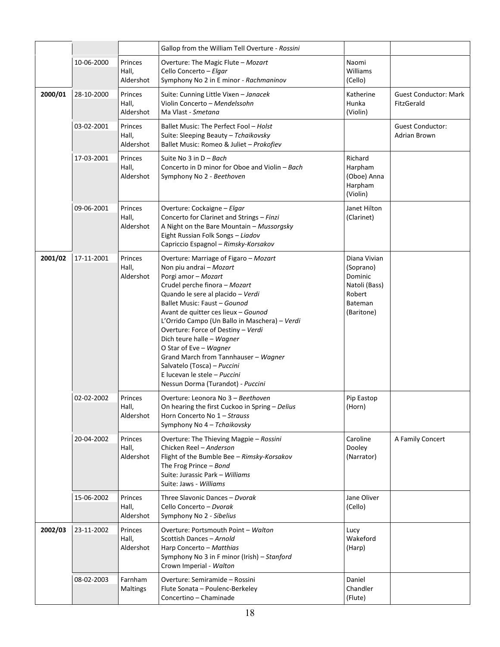|         |            |                               | Gallop from the William Tell Overture - Rossini                                                                                                                                                                                                                                                                                                                                                                                                                                                                                |                                                                                          |                                                |
|---------|------------|-------------------------------|--------------------------------------------------------------------------------------------------------------------------------------------------------------------------------------------------------------------------------------------------------------------------------------------------------------------------------------------------------------------------------------------------------------------------------------------------------------------------------------------------------------------------------|------------------------------------------------------------------------------------------|------------------------------------------------|
|         | 10-06-2000 | Princes<br>Hall,<br>Aldershot | Overture: The Magic Flute - Mozart<br>Cello Concerto - Elgar<br>Symphony No 2 in E minor - Rachmaninov                                                                                                                                                                                                                                                                                                                                                                                                                         | Naomi<br>Williams<br>(Cello)                                                             |                                                |
| 2000/01 | 28-10-2000 | Princes<br>Hall,<br>Aldershot | Suite: Cunning Little Vixen - Janacek<br>Violin Concerto - Mendelssohn<br>Ma Vlast - Smetana                                                                                                                                                                                                                                                                                                                                                                                                                                   | Katherine<br>Hunka<br>(Violin)                                                           | <b>Guest Conductor: Mark</b><br>FitzGerald     |
|         | 03-02-2001 | Princes<br>Hall,<br>Aldershot | Ballet Music: The Perfect Fool - Holst<br>Suite: Sleeping Beauty - Tchaikovsky<br>Ballet Music: Romeo & Juliet - Prokofiev                                                                                                                                                                                                                                                                                                                                                                                                     |                                                                                          | <b>Guest Conductor:</b><br><b>Adrian Brown</b> |
|         | 17-03-2001 | Princes<br>Hall,<br>Aldershot | Suite No 3 in $D - Bach$<br>Concerto in D minor for Oboe and Violin – Bach<br>Symphony No 2 - Beethoven                                                                                                                                                                                                                                                                                                                                                                                                                        | Richard<br>Harpham<br>(Oboe) Anna<br>Harpham<br>(Violin)                                 |                                                |
|         | 09-06-2001 | Princes<br>Hall,<br>Aldershot | Overture: Cockaigne - Elgar<br>Concerto for Clarinet and Strings - Finzi<br>A Night on the Bare Mountain - Mussorgsky<br>Eight Russian Folk Songs - Liadov<br>Capriccio Espagnol - Rimsky-Korsakov                                                                                                                                                                                                                                                                                                                             | Janet Hilton<br>(Clarinet)                                                               |                                                |
| 2001/02 | 17-11-2001 | Princes<br>Hall,<br>Aldershot | Overture: Marriage of Figaro - Mozart<br>Non piu andrai - Mozart<br>Porgi amor - Mozart<br>Crudel perche finora - Mozart<br>Quando le sere al placido - Verdi<br>Ballet Music: Faust - Gounod<br>Avant de quitter ces lieux - Gounod<br>L'Orrido Campo (Un Ballo in Maschera) - Verdi<br>Overture: Force of Destiny - Verdi<br>Dich teure halle - Wagner<br>O Star of Eve - Wagner<br>Grand March from Tannhauser - Wagner<br>Salvatelo (Tosca) - Puccini<br>E lucevan le stele - Puccini<br>Nessun Dorma (Turandot) - Puccini | Diana Vivian<br>(Soprano)<br>Dominic<br>Natoli (Bass)<br>Robert<br>Bateman<br>(Baritone) |                                                |
|         | 02-02-2002 | Princes<br>Hall,<br>Aldershot | Overture: Leonora No 3 - Beethoven<br>On hearing the first Cuckoo in Spring - Delius<br>Horn Concerto No 1 - Strauss<br>Symphony No 4 - Tchaikovsky                                                                                                                                                                                                                                                                                                                                                                            | Pip Eastop<br>(Horn)                                                                     |                                                |
|         | 20-04-2002 | Princes<br>Hall,<br>Aldershot | Overture: The Thieving Magpie - Rossini<br>Chicken Reel - Anderson<br>Flight of the Bumble Bee - Rimsky-Korsakov<br>The Frog Prince $-$ Bond<br>Suite: Jurassic Park - Williams<br>Suite: Jaws - Williams                                                                                                                                                                                                                                                                                                                      | Caroline<br>Dooley<br>(Narrator)                                                         | A Family Concert                               |
|         | 15-06-2002 | Princes<br>Hall,<br>Aldershot | Three Slavonic Dances - Dvorak<br>Cello Concerto - Dvorak<br>Symphony No 2 - Sibelius                                                                                                                                                                                                                                                                                                                                                                                                                                          | Jane Oliver<br>(Cello)                                                                   |                                                |
| 2002/03 | 23-11-2002 | Princes<br>Hall,<br>Aldershot | Overture: Portsmouth Point - Walton<br>Scottish Dances - Arnold<br>Harp Concerto - Matthias<br>Symphony No 3 in F minor (Irish) - Stanford<br>Crown Imperial - Walton                                                                                                                                                                                                                                                                                                                                                          | Lucy<br>Wakeford<br>(Harp)                                                               |                                                |
|         | 08-02-2003 | Farnham<br>Maltings           | Overture: Semiramide - Rossini<br>Flute Sonata - Poulenc-Berkeley<br>Concertino - Chaminade                                                                                                                                                                                                                                                                                                                                                                                                                                    | Daniel<br>Chandler<br>(Flute)                                                            |                                                |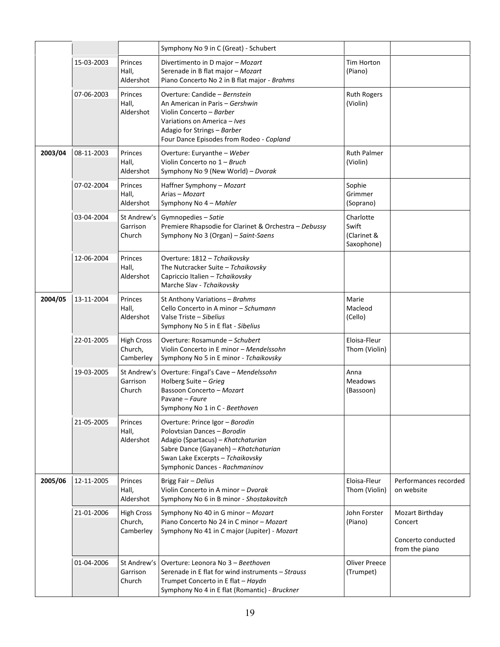|         |            |                                           | Symphony No 9 in C (Great) - Schubert                                                                                                                                                                               |                                                 |                                                                    |
|---------|------------|-------------------------------------------|---------------------------------------------------------------------------------------------------------------------------------------------------------------------------------------------------------------------|-------------------------------------------------|--------------------------------------------------------------------|
|         | 15-03-2003 | Princes<br>Hall,<br>Aldershot             | Divertimento in D major - Mozart<br>Serenade in B flat major - Mozart<br>Piano Concerto No 2 in B flat major - Brahms                                                                                               | <b>Tim Horton</b><br>(Piano)                    |                                                                    |
|         | 07-06-2003 | Princes<br>Hall,<br>Aldershot             | Overture: Candide - Bernstein<br>An American in Paris – Gershwin<br>Violin Concerto - Barber<br>Variations on America - Ives<br>Adagio for Strings - Barber<br>Four Dance Episodes from Rodeo - Copland             | <b>Ruth Rogers</b><br>(Violin)                  |                                                                    |
| 2003/04 | 08-11-2003 | Princes<br>Hall,<br>Aldershot             | Overture: Euryanthe - Weber<br>Violin Concerto no 1 - Bruch<br>Symphony No 9 (New World) – Dvorak                                                                                                                   | <b>Ruth Palmer</b><br>(Violin)                  |                                                                    |
|         | 07-02-2004 | Princes<br>Hall,<br>Aldershot             | Haffner Symphony - Mozart<br>Arias - Mozart<br>Symphony No 4 - Mahler                                                                                                                                               | Sophie<br>Grimmer<br>(Soprano)                  |                                                                    |
|         | 03-04-2004 | St Andrew's<br>Garrison<br>Church         | Gymnopedies - Satie<br>Premiere Rhapsodie for Clarinet & Orchestra - Debussy<br>Symphony No 3 (Organ) - Saint-Saens                                                                                                 | Charlotte<br>Swift<br>(Clarinet &<br>Saxophone) |                                                                    |
|         | 12-06-2004 | Princes<br>Hall,<br>Aldershot             | Overture: 1812 - Tchaikovsky<br>The Nutcracker Suite - Tchaikovsky<br>Capriccio Italien - Tchaikovsky<br>Marche Slav - Tchaikovsky                                                                                  |                                                 |                                                                    |
| 2004/05 | 13-11-2004 | Princes<br>Hall,<br>Aldershot             | St Anthony Variations - Brahms<br>Cello Concerto in A minor - Schumann<br>Valse Triste - Sibelius<br>Symphony No 5 in E flat - Sibelius                                                                             | Marie<br>Macleod<br>(Cello)                     |                                                                    |
|         | 22-01-2005 | <b>High Cross</b><br>Church,<br>Camberley | Overture: Rosamunde - Schubert<br>Violin Concerto in E minor - Mendelssohn<br>Symphony No 5 in E minor - Tchaikovsky                                                                                                | Eloisa-Fleur<br>Thom (Violin)                   |                                                                    |
|         | 19-03-2005 | St Andrew's<br>Garrison<br>Church         | Overture: Fingal's Cave - Mendelssohn<br>Holberg Suite - Grieg<br>Bassoon Concerto - Mozart<br>Pavane – Faure<br>Symphony No 1 in C - Beethoven                                                                     | Anna<br><b>Meadows</b><br>(Bassoon)             |                                                                    |
|         | 21-05-2005 | Princes<br>Hall,<br>Aldershot             | Overture: Prince Igor - Borodin<br>Polovtsian Dances - Borodin<br>Adagio (Spartacus) - Khatchaturian<br>Sabre Dance (Gayaneh) - Khatchaturian<br>Swan Lake Excerpts - Tchaikovsky<br>Symphonic Dances - Rachmaninov |                                                 |                                                                    |
| 2005/06 | 12-11-2005 | Princes<br>Hall,<br>Aldershot             | Brigg Fair - Delius<br>Violin Concerto in A minor - Dvorak<br>Symphony No 6 in B minor - Shostakovitch                                                                                                              | Eloisa-Fleur<br>Thom (Violin)                   | Performances recorded<br>on website                                |
|         | 21-01-2006 | <b>High Cross</b><br>Church,<br>Camberley | Symphony No 40 in G minor - Mozart<br>Piano Concerto No 24 in C minor - Mozart<br>Symphony No 41 in C major (Jupiter) - Mozart                                                                                      | John Forster<br>(Piano)                         | Mozart Birthday<br>Concert<br>Concerto conducted<br>from the piano |
|         | 01-04-2006 | St Andrew's<br>Garrison<br>Church         | Overture: Leonora No 3 - Beethoven<br>Serenade in E flat for wind instruments - Strauss<br>Trumpet Concerto in E flat - Haydn<br>Symphony No 4 in E flat (Romantic) - Bruckner                                      | Oliver Preece<br>(Trumpet)                      |                                                                    |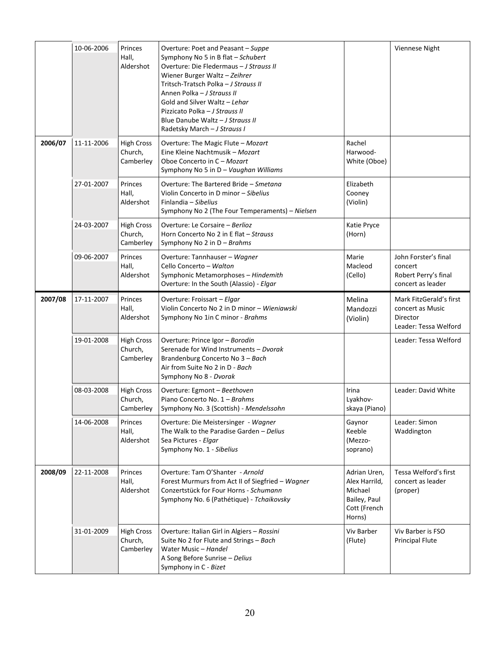|         | 10-06-2006 | Princes<br>Hall,<br>Aldershot             | Overture: Poet and Peasant - Suppe<br>Symphony No 5 in B flat - Schubert<br>Overture: Die Fledermaus - J Strauss II<br>Wiener Burger Waltz - Zeihrer<br>Tritsch-Tratsch Polka - J Strauss II<br>Annen Polka - J Strauss II<br>Gold and Silver Waltz - Lehar<br>Pizzicato Polka - J Strauss II<br>Blue Danube Waltz - J Strauss II<br>Radetsky March - J Strauss I |                                                                                    | Viennese Night                                                                   |
|---------|------------|-------------------------------------------|-------------------------------------------------------------------------------------------------------------------------------------------------------------------------------------------------------------------------------------------------------------------------------------------------------------------------------------------------------------------|------------------------------------------------------------------------------------|----------------------------------------------------------------------------------|
| 2006/07 | 11-11-2006 | <b>High Cross</b><br>Church,<br>Camberley | Overture: The Magic Flute - Mozart<br>Eine Kleine Nachtmusik - Mozart<br>Oboe Concerto in C - Mozart<br>Symphony No 5 in D - Vaughan Williams                                                                                                                                                                                                                     | Rachel<br>Harwood-<br>White (Oboe)                                                 |                                                                                  |
|         | 27-01-2007 | Princes<br>Hall,<br>Aldershot             | Overture: The Bartered Bride - Smetana<br>Violin Concerto in D minor - Sibelius<br>Finlandia - Sibelius<br>Symphony No 2 (The Four Temperaments) - Nielsen                                                                                                                                                                                                        | Elizabeth<br>Cooney<br>(Violin)                                                    |                                                                                  |
|         | 24-03-2007 | <b>High Cross</b><br>Church,<br>Camberley | Overture: Le Corsaire - Berlioz<br>Horn Concerto No 2 in E flat - Strauss<br>Symphony No 2 in $D - Brahms$                                                                                                                                                                                                                                                        | Katie Pryce<br>(Horn)                                                              |                                                                                  |
|         | 09-06-2007 | Princes<br>Hall,<br>Aldershot             | Overture: Tannhauser - Wagner<br>Cello Concerto - Walton<br>Symphonic Metamorphoses - Hindemith<br>Overture: In the South (Alassio) - Elgar                                                                                                                                                                                                                       | Marie<br>Macleod<br>(Cello)                                                        | John Forster's final<br>concert<br>Robert Perry's final<br>concert as leader     |
| 2007/08 | 17-11-2007 | Princes<br>Hall,<br>Aldershot             | Overture: Froissart - Elgar<br>Violin Concerto No 2 in D minor - Wieniawski<br>Symphony No 1in C minor - Brahms                                                                                                                                                                                                                                                   | Melina<br>Mandozzi<br>(Violin)                                                     | Mark FitzGerald's first<br>concert as Music<br>Director<br>Leader: Tessa Welford |
|         | 19-01-2008 | <b>High Cross</b><br>Church,<br>Camberley | Overture: Prince Igor - Borodin<br>Serenade for Wind Instruments - Dvorak<br>Brandenburg Concerto No 3 - Bach<br>Air from Suite No 2 in D - Bach<br>Symphony No 8 - Dvorak                                                                                                                                                                                        |                                                                                    | Leader: Tessa Welford                                                            |
|         | 08-03-2008 | <b>High Cross</b><br>Church,<br>Camberley | Overture: Egmont - Beethoven<br>Piano Concerto No. 1 - Brahms<br>Symphony No. 3 (Scottish) - Mendelssohn                                                                                                                                                                                                                                                          | Irina<br>Lyakhov-<br>skaya (Piano)                                                 | Leader: David White                                                              |
|         | 14-06-2008 | Princes<br>Hall,<br>Aldershot             | Overture: Die Meistersinger - Wagner<br>The Walk to the Paradise Garden - Delius<br>Sea Pictures - Elgar<br>Symphony No. 1 - Sibelius                                                                                                                                                                                                                             | Gaynor<br>Keeble<br>(Mezzo-<br>soprano)                                            | Leader: Simon<br>Waddington                                                      |
| 2008/09 | 22-11-2008 | Princes<br>Hall,<br>Aldershot             | Overture: Tam O'Shanter - Arnold<br>Forest Murmurs from Act II of Siegfried - Wagner<br>Conzertstück for Four Horns - Schumann<br>Symphony No. 6 (Pathétique) - Tchaikovsky                                                                                                                                                                                       | Adrian Uren,<br>Alex Harrild,<br>Michael<br>Bailey, Paul<br>Cott (French<br>Horns) | Tessa Welford's first<br>concert as leader<br>(proper)                           |
|         | 31-01-2009 | <b>High Cross</b><br>Church,<br>Camberley | Overture: Italian Girl in Algiers - Rossini<br>Suite No 2 for Flute and Strings - Bach<br>Water Music - Handel<br>A Song Before Sunrise - Delius<br>Symphony in C - Bizet                                                                                                                                                                                         | Viv Barber<br>(Flute)                                                              | Viv Barber is FSO<br><b>Principal Flute</b>                                      |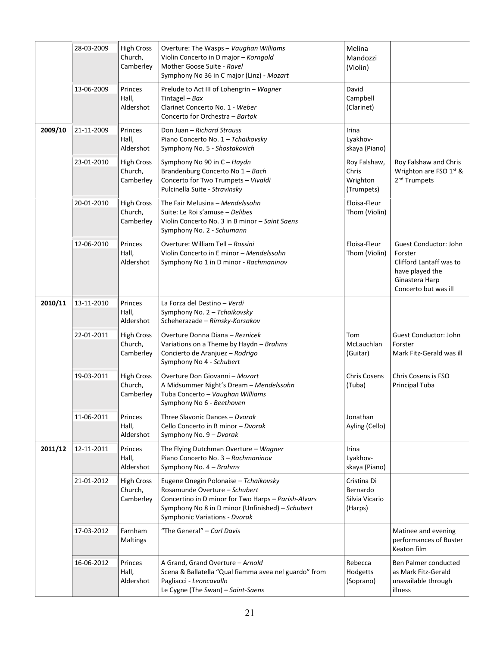|         | 28-03-2009 | <b>High Cross</b><br>Church,<br>Camberley | Overture: The Wasps - Vaughan Williams<br>Violin Concerto in D major - Korngold<br>Mother Goose Suite - Ravel<br>Symphony No 36 in C major (Linz) - Mozart                                                         | Melina<br>Mandozzi<br>(Violin)                       |                                                                                                                          |
|---------|------------|-------------------------------------------|--------------------------------------------------------------------------------------------------------------------------------------------------------------------------------------------------------------------|------------------------------------------------------|--------------------------------------------------------------------------------------------------------------------------|
|         | 13-06-2009 | Princes<br>Hall,<br>Aldershot             | Prelude to Act III of Lohengrin - Wagner<br>Tintagel - Bax<br>Clarinet Concerto No. 1 - Weber<br>Concerto for Orchestra - Bartok                                                                                   | David<br>Campbell<br>(Clarinet)                      |                                                                                                                          |
| 2009/10 | 21-11-2009 | Princes<br>Hall,<br>Aldershot             | Don Juan - Richard Strauss<br>Piano Concerto No. 1 - Tchaikovsky<br>Symphony No. 5 - Shostakovich                                                                                                                  | Irina<br>Lyakhov-<br>skaya (Piano)                   |                                                                                                                          |
|         | 23-01-2010 | <b>High Cross</b><br>Church,<br>Camberley | Symphony No 90 in C - Haydn<br>Brandenburg Concerto No 1 - Bach<br>Concerto for Two Trumpets - Vivaldi<br>Pulcinella Suite - Stravinsky                                                                            | Roy Falshaw,<br>Chris<br>Wrighton<br>(Trumpets)      | Roy Falshaw and Chris<br>Wrighton are FSO 1st &<br>2 <sup>nd</sup> Trumpets                                              |
|         | 20-01-2010 | <b>High Cross</b><br>Church,<br>Camberley | The Fair Melusina - Mendelssohn<br>Suite: Le Roi s'amuse - Delibes<br>Violin Concerto No. 3 in B minor - Saint Saens<br>Symphony No. 2 - Schumann                                                                  | Eloisa-Fleur<br>Thom (Violin)                        |                                                                                                                          |
|         | 12-06-2010 | Princes<br>Hall,<br>Aldershot             | Overture: William Tell - Rossini<br>Violin Concerto in E minor – Mendelssohn<br>Symphony No 1 in D minor - Rachmaninov                                                                                             | Eloisa-Fleur<br>Thom (Violin)                        | Guest Conductor: John<br>Forster<br>Clifford Lantaff was to<br>have played the<br>Ginastera Harp<br>Concerto but was ill |
| 2010/11 | 13-11-2010 | Princes<br>Hall,<br>Aldershot             | La Forza del Destino - Verdi<br>Symphony No. 2 - Tchaikovsky<br>Scheherazade - Rimsky-Korsakov                                                                                                                     |                                                      |                                                                                                                          |
|         | 22-01-2011 | <b>High Cross</b><br>Church,<br>Camberley | Overture Donna Diana - Reznicek<br>Variations on a Theme by Haydn - Brahms<br>Concierto de Aranjuez - Rodrigo<br>Symphony No 4 - Schubert                                                                          | Tom<br>McLauchlan<br>(Guitar)                        | Guest Conductor: John<br>Forster<br>Mark Fitz-Gerald was ill                                                             |
|         | 19-03-2011 | <b>High Cross</b><br>Church,<br>Camberley | Overture Don Giovanni - Mozart<br>A Midsummer Night's Dream - Mendelssohn<br>Tuba Concerto - Vaughan Williams<br>Symphony No 6 - Beethoven                                                                         | <b>Chris Cosens</b><br>(Tuba)                        | Chris Cosens is FSO<br>Principal Tuba                                                                                    |
|         | 11-06-2011 | Princes<br>Hall,<br>Aldershot             | Three Slavonic Dances - Dvorak<br>Cello Concerto in B minor - Dvorak<br>Symphony No. 9 - Dvorak                                                                                                                    | Jonathan<br>Ayling (Cello)                           |                                                                                                                          |
| 2011/12 | 12-11-2011 | Princes<br>Hall,<br>Aldershot             | The Flying Dutchman Overture - Wagner<br>Piano Concerto No. 3 - Rachmaninov<br>Symphony No. 4 - Brahms                                                                                                             | Irina<br>Lyakhov-<br>skaya (Piano)                   |                                                                                                                          |
|         | 21-01-2012 | <b>High Cross</b><br>Church,<br>Camberley | Eugene Onegin Polonaise - Tchaikovsky<br>Rosamunde Overture - Schubert<br>Concertino in D minor for Two Harps - Parish-Alvars<br>Symphony No 8 in D minor (Unfinished) - Schubert<br>Symphonic Variations - Dvorak | Cristina Di<br>Bernardo<br>Silvia Vicario<br>(Harps) |                                                                                                                          |
|         | 17-03-2012 | Farnham<br>Maltings                       | "The General" - Carl Davis                                                                                                                                                                                         |                                                      | Matinee and evening<br>performances of Buster<br>Keaton film                                                             |
|         | 16-06-2012 | Princes<br>Hall,<br>Aldershot             | A Grand, Grand Overture - Arnold<br>Scena & Ballatella "Qual fiamma avea nel guardo" from<br>Pagliacci - Leoncavallo<br>Le Cygne (The Swan) - Saint-Saens                                                          | Rebecca<br>Hodgetts<br>(Soprano)                     | Ben Palmer conducted<br>as Mark Fitz-Gerald<br>unavailable through<br>illness                                            |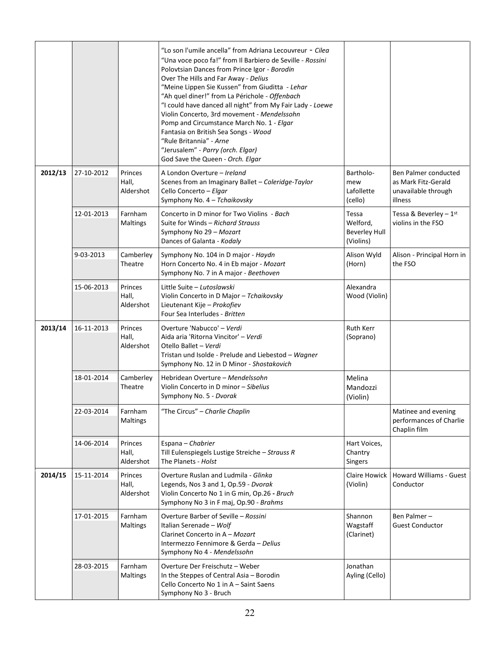|         |            |                               | "Lo son l'umile ancella" from Adriana Lecouvreur - Cilea<br>"Una voce poco fa!" from Il Barbiero de Seville - Rossini<br>Polovtsian Dances from Prince Igor - Borodin<br>Over The Hills and Far Away - Delius<br>"Meine Lippen Sie Kussen" from Giuditta - Lehar<br>"Ah quel diner!" from La Périchole - Offenbach<br>"I could have danced all night" from My Fair Lady - Loewe<br>Violin Concerto, 3rd movement - Mendelssohn<br>Pomp and Circumstance March No. 1 - Elgar<br>Fantasia on British Sea Songs - Wood<br>"Rule Britannia" - Arne<br>"Jerusalem" - Parry (orch. Elgar)<br>God Save the Queen - Orch. Elgar |                                                        |                                                                               |
|---------|------------|-------------------------------|-------------------------------------------------------------------------------------------------------------------------------------------------------------------------------------------------------------------------------------------------------------------------------------------------------------------------------------------------------------------------------------------------------------------------------------------------------------------------------------------------------------------------------------------------------------------------------------------------------------------------|--------------------------------------------------------|-------------------------------------------------------------------------------|
| 2012/13 | 27-10-2012 | Princes<br>Hall,<br>Aldershot | A London Overture - Ireland<br>Scenes from an Imaginary Ballet - Coleridge-Taylor<br>Cello Concerto - Elgar<br>Symphony No. 4 - Tchaikovsky                                                                                                                                                                                                                                                                                                                                                                                                                                                                             | Bartholo-<br>mew<br>Lafollette<br>(cello)              | Ben Palmer conducted<br>as Mark Fitz-Gerald<br>unavailable through<br>illness |
|         | 12-01-2013 | Farnham<br><b>Maltings</b>    | Concerto in D minor for Two Violins - Bach<br>Suite for Winds - Richard Strauss<br>Symphony No 29 - Mozart<br>Dances of Galanta - Kodaly                                                                                                                                                                                                                                                                                                                                                                                                                                                                                | Tessa<br>Welford.<br><b>Beverley Hull</b><br>(Violins) | Tessa & Beverley $-1st$<br>violins in the FSO                                 |
|         | 9-03-2013  | Camberley<br>Theatre          | Symphony No. 104 in D major - Haydn<br>Horn Concerto No. 4 in Eb major - Mozart<br>Symphony No. 7 in A major - Beethoven                                                                                                                                                                                                                                                                                                                                                                                                                                                                                                | Alison Wyld<br>(Horn)                                  | Alison - Principal Horn in<br>the FSO                                         |
|         | 15-06-2013 | Princes<br>Hall,<br>Aldershot | Little Suite - Lutoslawski<br>Violin Concerto in D Major - Tchaikovsky<br>Lieutenant Kije - Prokofiev<br>Four Sea Interludes - Britten                                                                                                                                                                                                                                                                                                                                                                                                                                                                                  | Alexandra<br>Wood (Violin)                             |                                                                               |
| 2013/14 | 16-11-2013 | Princes<br>Hall,<br>Aldershot | Overture 'Nabucco' - Verdi<br>Aida aria 'Ritorna Vincitor' - Verdi<br>Otello Ballet - Verdi<br>Tristan und Isolde - Prelude and Liebestod - Wagner<br>Symphony No. 12 in D Minor - Shostakovich                                                                                                                                                                                                                                                                                                                                                                                                                         | <b>Ruth Kerr</b><br>(Soprano)                          |                                                                               |
|         | 18-01-2014 | Camberley<br>Theatre          | Hebridean Overture - Mendelssohn<br>Violin Concerto in D minor - Sibelius<br>Symphony No. 5 - Dvorak                                                                                                                                                                                                                                                                                                                                                                                                                                                                                                                    | Melina<br>Mandozzi<br>(Violin)                         |                                                                               |
|         | 22-03-2014 | Farnham<br><b>Maltings</b>    | "The Circus" - Charlie Chaplin                                                                                                                                                                                                                                                                                                                                                                                                                                                                                                                                                                                          |                                                        | Matinee and evening<br>performances of Charlie<br>Chaplin film                |
|         | 14-06-2014 | Princes<br>Hall,<br>Aldershot | Espana - Chabrier<br>Till Eulenspiegels Lustige Streiche - Strauss R<br>The Planets - Holst                                                                                                                                                                                                                                                                                                                                                                                                                                                                                                                             | Hart Voices,<br>Chantry<br>Singers                     |                                                                               |
| 2014/15 | 15-11-2014 | Princes<br>Hall,<br>Aldershot | Overture Ruslan and Ludmila - Glinka<br>Legends, Nos 3 and 1, Op.59 - Dvorak<br>Violin Concerto No 1 in G min, Op.26 - Bruch<br>Symphony No 3 in F maj, Op.90 - Brahms                                                                                                                                                                                                                                                                                                                                                                                                                                                  | Claire Howick<br>(Violin)                              | <b>Howard Williams - Guest</b><br>Conductor                                   |
|         | 17-01-2015 | Farnham<br>Maltings           | Overture Barber of Seville - Rossini<br>Italian Serenade - Wolf<br>Clarinet Concerto in A - Mozart<br>Intermezzo Fennimore & Gerda - Delius<br>Symphony No 4 - Mendelssohn                                                                                                                                                                                                                                                                                                                                                                                                                                              | Shannon<br>Wagstaff<br>(Clarinet)                      | Ben Palmer-<br><b>Guest Conductor</b>                                         |
|         | 28-03-2015 | Farnham<br>Maltings           | Overture Der Freischutz - Weber<br>In the Steppes of Central Asia - Borodin<br>Cello Concerto No 1 in A - Saint Saens<br>Symphony No 3 - Bruch                                                                                                                                                                                                                                                                                                                                                                                                                                                                          | Jonathan<br>Ayling (Cello)                             |                                                                               |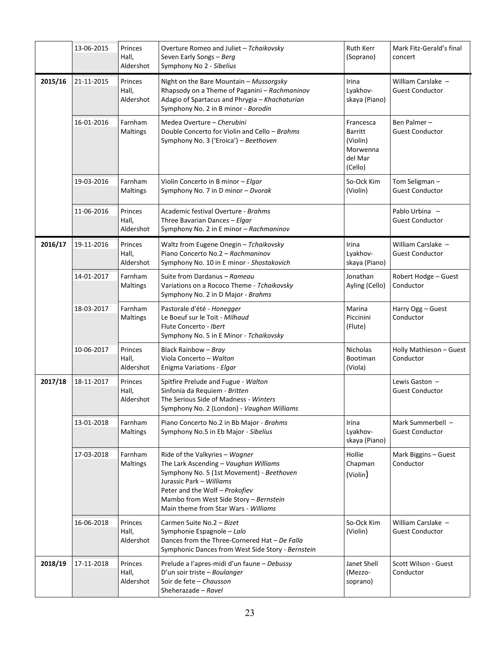|         | 13-06-2015 | Princes<br>Hall,<br>Aldershot | Overture Romeo and Juliet - Tchaikovsky<br>Seven Early Songs - Berg<br>Symphony No 2 - Sibelius                                                                                                                                                                      | Ruth Kerr<br>(Soprano)                                                    | Mark Fitz-Gerald's final<br>concert          |
|---------|------------|-------------------------------|----------------------------------------------------------------------------------------------------------------------------------------------------------------------------------------------------------------------------------------------------------------------|---------------------------------------------------------------------------|----------------------------------------------|
| 2015/16 | 21-11-2015 | Princes<br>Hall,<br>Aldershot | Night on the Bare Mountain - Mussorgsky<br>Rhapsody on a Theme of Paganini - Rachmaninov<br>Adagio of Spartacus and Phrygia - Khachaturian<br>Symphony No. 2 in B minor - Borodin                                                                                    | Irina<br>Lyakhov-<br>skaya (Piano)                                        | William Carslake -<br><b>Guest Conductor</b> |
|         | 16-01-2016 | Farnham<br>Maltings           | Medea Overture - Cherubini<br>Double Concerto for Violin and Cello - Brahms<br>Symphony No. 3 ('Eroica') - Beethoven                                                                                                                                                 | Francesca<br><b>Barritt</b><br>(Violin)<br>Morwenna<br>del Mar<br>(Cello) | Ben Palmer-<br><b>Guest Conductor</b>        |
|         | 19-03-2016 | Farnham<br>Maltings           | Violin Concerto in B minor - Elgar<br>Symphony No. 7 in D minor - Dvorak                                                                                                                                                                                             | So-Ock Kim<br>(Violin)                                                    | Tom Seligman-<br><b>Guest Conductor</b>      |
|         | 11-06-2016 | Princes<br>Hall,<br>Aldershot | Academic festival Overture - Brahms<br>Three Bavarian Dances - Elgar<br>Symphony No. 2 in E minor - Rachmaninov                                                                                                                                                      |                                                                           | Pablo Urbina -<br><b>Guest Conductor</b>     |
| 2016/17 | 19-11-2016 | Princes<br>Hall,<br>Aldershot | Waltz from Eugene Onegin - Tchaikovsky<br>Piano Concerto No.2 - Rachmaninov<br>Symphony No. 10 in E minor - Shostakovich                                                                                                                                             | Irina<br>Lyakhov-<br>skaya (Piano)                                        | William Carslake -<br><b>Guest Conductor</b> |
|         | 14-01-2017 | Farnham<br>Maltings           | Suite from Dardanus - Rameau<br>Variations on a Rococo Theme - Tchaikovsky<br>Symphony No. 2 in D Major - Brahms                                                                                                                                                     | Jonathan<br>Ayling (Cello)                                                | Robert Hodge - Guest<br>Conductor            |
|         | 18-03-2017 | Farnham<br>Maltings           | Pastorale d'été - Honegger<br>Le Boeuf sur le Toit - Milhaud<br>Flute Concerto - Ibert<br>Symphony No. 5 in E Minor - Tchaikovsky                                                                                                                                    | Marina<br>Piccinini<br>(Flute)                                            | Harry Ogg - Guest<br>Conductor               |
|         | 10-06-2017 | Princes<br>Hall,<br>Aldershot | Black Rainbow - Bray<br>Viola Concerto - Walton<br>Enigma Variations - Elgar                                                                                                                                                                                         | <b>Nicholas</b><br>Bootiman<br>(Viola)                                    | Holly Mathieson - Guest<br>Conductor         |
| 2017/18 | 18-11-2017 | Princes<br>Hall,<br>Aldershot | Spitfire Prelude and Fugue - Walton<br>Sinfonia da Requiem - Britten<br>The Serious Side of Madness - Winters<br>Symphony No. 2 (London) - Vaughan Williams                                                                                                          |                                                                           | Lewis Gaston -<br><b>Guest Conductor</b>     |
|         | 13-01-2018 | Farnham<br>Maltings           | Piano Concerto No.2 in Bb Major - Brahms<br>Symphony No.5 in Eb Major - Sibelius                                                                                                                                                                                     | Irina<br>Lyakhov-<br>skaya (Piano)                                        | Mark Summerbell -<br><b>Guest Conductor</b>  |
|         | 17-03-2018 | Farnham<br>Maltings           | Ride of the Valkyries - Wagner<br>The Lark Ascending - Vaughan Williams<br>Symphony No. 5 (1st Movement) - Beethoven<br>Jurassic Park - Williams<br>Peter and the Wolf - Prokofiev<br>Mambo from West Side Story - Bernstein<br>Main theme from Star Wars - Williams | Hollie<br>Chapman<br>(Violin)                                             | Mark Biggins - Guest<br>Conductor            |
|         | 16-06-2018 | Princes<br>Hall,<br>Aldershot | Carmen Suite No.2 - Bizet<br>Symphonie Espagnole - Lalo<br>Dances from the Three-Cornered Hat - De Falla<br>Symphonic Dances from West Side Story - Bernstein                                                                                                        | So-Ock Kim<br>(Violin)                                                    | William Carslake -<br><b>Guest Conductor</b> |
| 2018/19 | 17-11-2018 | Princes<br>Hall,<br>Aldershot | Prelude a l'apres-midi d'un faune - Debussy<br>D'un soir triste - Boulanger<br>Soir de fete - Chausson<br>Sheherazade - Ravel                                                                                                                                        | Janet Shell<br>(Mezzo-<br>soprano)                                        | Scott Wilson - Guest<br>Conductor            |